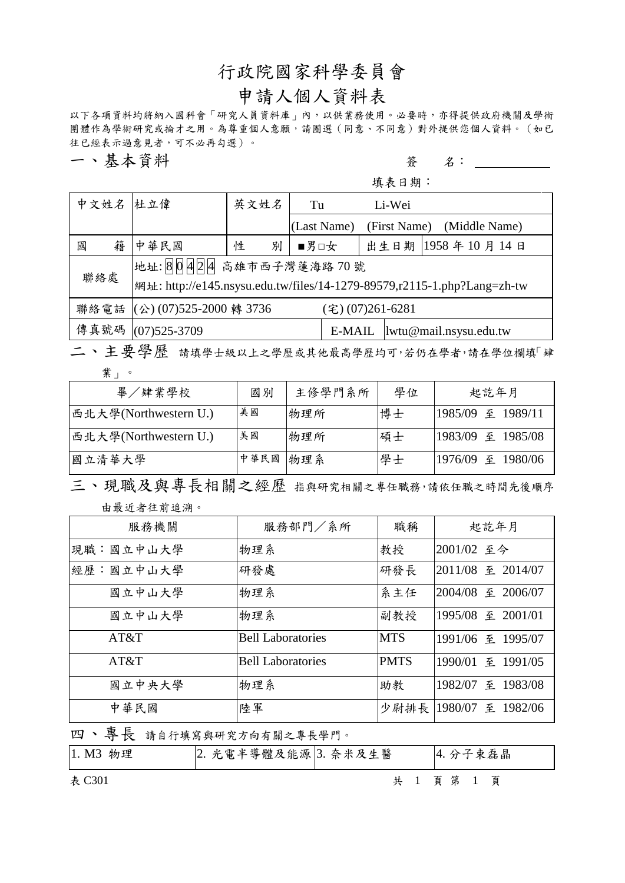# 行政院國家科學委員會

# 申請人個人資料表

以下各項資料均將納入國科會「研究人員資料庫」內,以供業務使用。必要時,亦得提供政府機關及學術 團體作為學術研究或掄才之用。為尊重個人意願,請圈選(同意、不同意)對外提供您個人資料。(如已 往已經表示過意見者,可不必再勾選)。

一、基本資料 2000年 1000 年 1000 年 1000 年 1000 年 1000 年 1000 年 1000 年 1000 年 1000 年 1000 年 1000 年 1000 年 100 年 100 年 100 年 100 年 100 年 100 年 100 年 100 年 100 年 100 年 100 年 100 年 100 年 100 年 100 年 100 年 100 年 100 年 100 年 100 年 100 年

填表日期:

| 中文姓名 杜立偉                                                                        |                                                  | 英文姓名 |   | Tu          | Li-Wei       |                        |
|---------------------------------------------------------------------------------|--------------------------------------------------|------|---|-------------|--------------|------------------------|
|                                                                                 |                                                  |      |   | (Last Name) | (First Name) | (Middle Name)          |
| 籍<br>國                                                                          | 中華民國                                             | 性    | 別 | ■男□女        |              | 出生日期   1958年10月14日     |
| 地址:80424 高雄市西子灣蓮海路 70號                                                          |                                                  |      |   |             |              |                        |
| 聯絡處<br> 網址: http://e145.nsysu.edu.tw/files/14-1279-89579,r2115-1.php?Lang=zh-tw |                                                  |      |   |             |              |                        |
|                                                                                 | 聯絡電話 (公) (07)525-2000 轉 3736<br>(宅) (07)261-6281 |      |   |             |              |                        |
|                                                                                 | 傳真號碼 (07)525-3709                                |      |   | E-MAIL      |              | lwtu@mail.nsysu.edu.tw |

二、主要學歷 請填學士級以上之學歷或其他最高學歷均可,若仍在學者,請在學位欄填「肄 業」。

| 畢/肄業學校                | 國別   | 主修學門系所 | 學位 | 起訖年月              |
|-----------------------|------|--------|----|-------------------|
| 西北大學(Northwestern U.) | 美國   | 物理所    | 博士 | 1985/09 至 1989/11 |
| 西北大學(Northwestern U.) | 美國   | 物理所    | 碩士 | 1983/09 至 1985/08 |
| 國立清華大學                | 中華民國 | 物理系    | 學士 | 1976/09 至 1980/06 |

三、現職及與專長相關之經歷 指與研究相關之專任職務,請依任職之時間先後順序 由最近者往前追溯。

| 服務機關      | 服務部門/系所                  | 職稱          | 起訖年月                     |
|-----------|--------------------------|-------------|--------------------------|
| 現職:國立中山大學 | 物理系                      | 教授          | 2001/02 至今               |
| 經歷:國立中山大學 | 研發處                      | 研發長         | 2011/08 至 2014/07        |
| 國立中山大學    | 物理系                      | 系主任         | 2004/08 至 2006/07        |
| 國立中山大學    | 物理系                      | 副教授         | 1995/08 至 2001/01        |
| AT&T      | <b>Bell Laboratories</b> | <b>MTS</b>  | 1991/06 至 1995/07        |
| AT&T      | <b>Bell Laboratories</b> | <b>PMTS</b> | 1990/01 至 1991/05        |
| 國立中央大學    | 物理系                      | 助教          | 1982/07 至 1983/08        |
| 中華民國      | 陸軍                       |             | 少尉排長   1980/07 至 1982/06 |

四、專長 請自行填寫與研究方向有關之專長學門。

| 1. M3 物理 | 2. 光電半導體及能源 3. 奈米及生醫 | 4. 分子束磊晶       |
|----------|----------------------|----------------|
| 表 C301   |                      | 共 1 頁 第 1<br>頁 |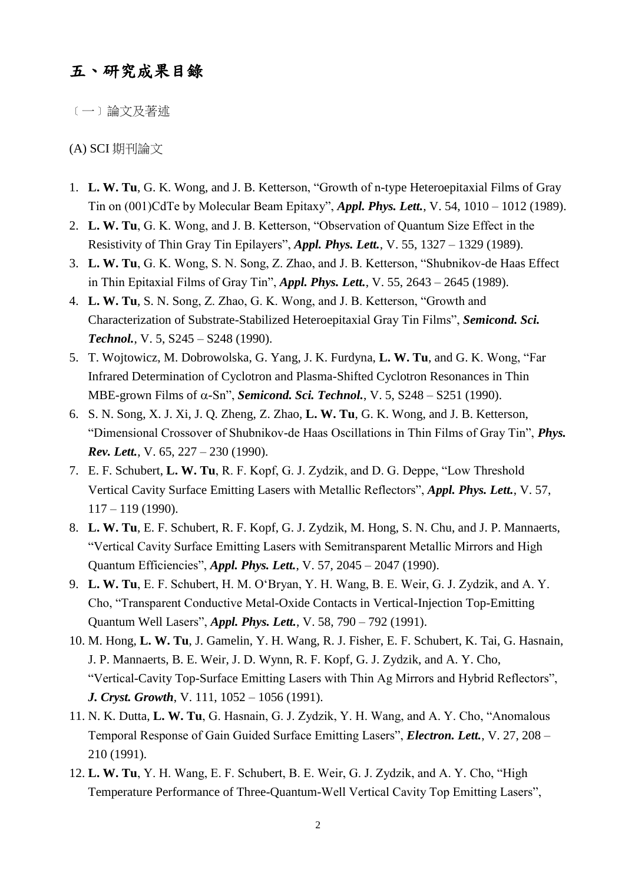## 五、研究成果目錄

﹝一﹞論文及著述

#### (A) SCI 期刊論文

- 1. **L. W. Tu**, G. K. Wong, and J. B. Ketterson, "Growth of n-type Heteroepitaxial Films of Gray Tin on (001)CdTe by Molecular Beam Epitaxy", *Appl. Phys. Lett.*, V. 54, 1010 – 1012 (1989).
- 2. **L. W. Tu**, G. K. Wong, and J. B. Ketterson, "Observation of Quantum Size Effect in the Resistivity of Thin Gray Tin Epilayers", *Appl. Phys. Lett.*, V. 55, 1327 – 1329 (1989).
- 3. **L. W. Tu**, G. K. Wong, S. N. Song, Z. Zhao, and J. B. Ketterson, "Shubnikov-de Haas Effect in Thin Epitaxial Films of Gray Tin", *Appl. Phys. Lett.*, V. 55, 2643 – 2645 (1989).
- 4. **L. W. Tu**, S. N. Song, Z. Zhao, G. K. Wong, and J. B. Ketterson, "Growth and Characterization of Substrate-Stabilized Heteroepitaxial Gray Tin Films", *Semicond. Sci. Technol.*, V. 5, S245 – S248 (1990).
- 5. T. Wojtowicz, M. Dobrowolska, G. Yang, J. K. Furdyna, **L. W. Tu**, and G. K. Wong, "Far Infrared Determination of Cyclotron and Plasma-Shifted Cyclotron Resonances in Thin MBE-grown Films of  $\alpha$ -Sn", *Semicond. Sci. Technol.*, V. 5, S248 – S251 (1990).
- 6. S. N. Song, X. J. Xi, J. Q. Zheng, Z. Zhao, **L. W. Tu**, G. K. Wong, and J. B. Ketterson, "Dimensional Crossover of Shubnikov-de Haas Oscillations in Thin Films of Gray Tin", *Phys. Rev. Lett.*, V. 65, 227 – 230 (1990).
- 7. E. F. Schubert, **L. W. Tu**, R. F. Kopf, G. J. Zydzik, and D. G. Deppe, "Low Threshold Vertical Cavity Surface Emitting Lasers with Metallic Reflectors", *Appl. Phys. Lett.*, V. 57, 117 – 119 (1990).
- 8. **L. W. Tu**, E. F. Schubert, R. F. Kopf, G. J. Zydzik, M. Hong, S. N. Chu, and J. P. Mannaerts, "Vertical Cavity Surface Emitting Lasers with Semitransparent Metallic Mirrors and High Quantum Efficiencies", *Appl. Phys. Lett.*, V. 57, 2045 – 2047 (1990).
- 9. **L. W. Tu**, E. F. Schubert, H. M. O'Bryan, Y. H. Wang, B. E. Weir, G. J. Zydzik, and A. Y. Cho, "Transparent Conductive Metal-Oxide Contacts in Vertical-Injection Top-Emitting Quantum Well Lasers", *Appl. Phys. Lett.*, V. 58, 790 – 792 (1991).
- 10. M. Hong, **L. W. Tu**, J. Gamelin, Y. H. Wang, R. J. Fisher, E. F. Schubert, K. Tai, G. Hasnain, J. P. Mannaerts, B. E. Weir, J. D. Wynn, R. F. Kopf, G. J. Zydzik, and A. Y. Cho, "Vertical-Cavity Top-Surface Emitting Lasers with Thin Ag Mirrors and Hybrid Reflectors", *J. Cryst. Growth*, V. 111, 1052 – 1056 (1991).
- 11. N. K. Dutta, **L. W. Tu**, G. Hasnain, G. J. Zydzik, Y. H. Wang, and A. Y. Cho, "Anomalous Temporal Response of Gain Guided Surface Emitting Lasers", *Electron. Lett.*, V. 27, 208 – 210 (1991).
- 12. **L. W. Tu**, Y. H. Wang, E. F. Schubert, B. E. Weir, G. J. Zydzik, and A. Y. Cho, "High Temperature Performance of Three-Quantum-Well Vertical Cavity Top Emitting Lasers",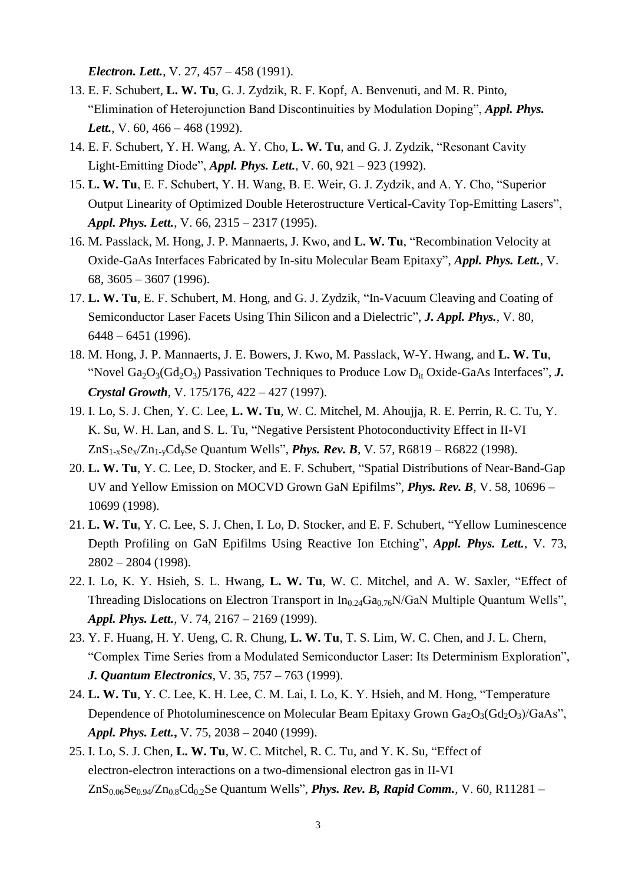*Electron. Lett.*, V. 27, 457 – 458 (1991).

- 13. E. F. Schubert, **L. W. Tu**, G. J. Zydzik, R. F. Kopf, A. Benvenuti, and M. R. Pinto, "Elimination of Heterojunction Band Discontinuities by Modulation Doping", *Appl. Phys.*  Lett., V. 60, 466 – 468 (1992).
- 14. E. F. Schubert, Y. H. Wang, A. Y. Cho, **L. W. Tu**, and G. J. Zydzik, "Resonant Cavity Light-Emitting Diode", *Appl. Phys. Lett.*, V. 60, 921 – 923 (1992).
- 15. **L. W. Tu**, E. F. Schubert, Y. H. Wang, B. E. Weir, G. J. Zydzik, and A. Y. Cho, "Superior Output Linearity of Optimized Double Heterostructure Vertical-Cavity Top-Emitting Lasers", *Appl. Phys. Lett.*, V. 66, 2315 – 2317 (1995).
- 16. M. Passlack, M. Hong, J. P. Mannaerts, J. Kwo, and **L. W. Tu**, "Recombination Velocity at Oxide-GaAs Interfaces Fabricated by In-situ Molecular Beam Epitaxy", *Appl. Phys. Lett.*, V. 68, 3605 – 3607 (1996).
- 17. **L. W. Tu**, E. F. Schubert, M. Hong, and G. J. Zydzik, "In-Vacuum Cleaving and Coating of Semiconductor Laser Facets Using Thin Silicon and a Dielectric", *J. Appl. Phys.*, V. 80, 6448 – 6451 (1996).
- 18. M. Hong, J. P. Mannaerts, J. E. Bowers, J. Kwo, M. Passlack, W-Y. Hwang, and **L. W. Tu**, "Novel  $Ga_2O_3(Gd_2O_3)$  Passivation Techniques to Produce Low  $D_{it}$  Oxide-GaAs Interfaces", *J. Crystal Growth*, V. 175/176, 422 – 427 (1997).
- 19. I. Lo, S. J. Chen, Y. C. Lee, **L. W. Tu**, W. C. Mitchel, M. Ahoujja, R. E. Perrin, R. C. Tu, Y. K. Su, W. H. Lan, and S. L. Tu, "Negative Persistent Photoconductivity Effect in II-VI ZnS1-xSex/Zn1-yCdySe Quantum Wells", *Phys. Rev. B*, V. 57, R6819 – R6822 (1998).
- 20. **L. W. Tu**, Y. C. Lee, D. Stocker, and E. F. Schubert, "Spatial Distributions of Near-Band-Gap UV and Yellow Emission on MOCVD Grown GaN Epifilms", *Phys. Rev. B*, V. 58, 10696 – 10699 (1998).
- 21. **L. W. Tu**, Y. C. Lee, S. J. Chen, I. Lo, D. Stocker, and E. F. Schubert, "Yellow Luminescence Depth Profiling on GaN Epifilms Using Reactive Ion Etching", *Appl. Phys. Lett.*, V. 73, 2802 – 2804 (1998).
- 22. I. Lo, K. Y. Hsieh, S. L. Hwang, **L. W. Tu**, W. C. Mitchel, and A. W. Saxler, "Effect of Threading Dislocations on Electron Transport in  $In_{0.24}Ga_{0.76}N/GaN$  Multiple Quantum Wells", *Appl. Phys. Lett.*, V. 74, 2167 – 2169 (1999).
- 23. Y. F. Huang, H. Y. Ueng, C. R. Chung, **L. W. Tu**, T. S. Lim, W. C. Chen, and J. L. Chern, "Complex Time Series from a Modulated Semiconductor Laser: Its Determinism Exploration", *J. Quantum Electronics*, V. 35, 757 **–** 763 (1999).
- 24. **L. W. Tu**, Y. C. Lee, K. H. Lee, C. M. Lai, I. Lo, K. Y. Hsieh, and M. Hong, "Temperature Dependence of Photoluminescence on Molecular Beam Epitaxy Grown  $Ga_2O_3(Gd_2O_3)/GaAs$ ", *Appl. Phys. Lett.***,** V. 75, 2038 **–** 2040 (1999).
- 25. I. Lo, S. J. Chen, **L. W. Tu**, W. C. Mitchel, R. C. Tu, and Y. K. Su, "Effect of electron-electron interactions on a two-dimensional electron gas in II-VI  $ZnS_{0.06}Se_{0.94}/Zn_{0.8}Cd_{0.2}Se$  Quantum Wells", *Phys. Rev. B, Rapid Comm.*, V. 60, R11281 –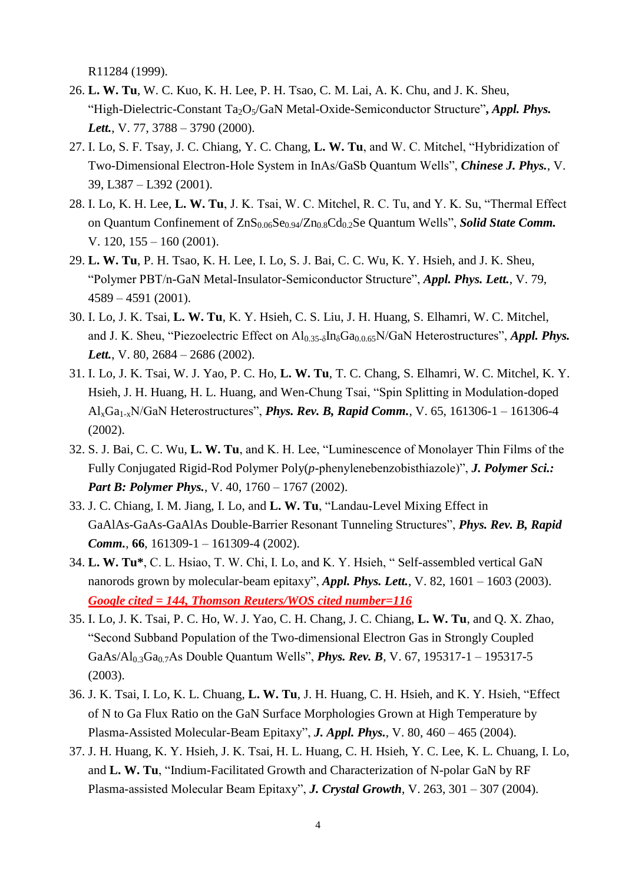R11284 (1999).

- 26. **L. W. Tu**, W. C. Kuo, K. H. Lee, P. H. Tsao, C. M. Lai, A. K. Chu, and J. K. Sheu, "High-Dielectric-Constant Ta<sub>2</sub>O<sub>5</sub>/GaN Metal-Oxide-Semiconductor Structure", *Appl. Phys. Lett.*, V. 77, 3788 – 3790 (2000).
- 27. I. Lo, S. F. Tsay, J. C. Chiang, Y. C. Chang, **L. W. Tu**, and W. C. Mitchel, "Hybridization of Two-Dimensional Electron-Hole System in InAs/GaSb Quantum Wells", *Chinese J. Phys.*, V. 39, L387 – L392 (2001).
- 28. I. Lo, K. H. Lee, **L. W. Tu**, J. K. Tsai, W. C. Mitchel, R. C. Tu, and Y. K. Su, "Thermal Effect on Quantum Confinement of  $ZnS_{0.06}Se_{0.94}/Zn_{0.8}Cd_{0.2}Se$  Quantum Wells", *Solid State Comm.* V. 120, 155 – 160 (2001).
- 29. **L. W. Tu**, P. H. Tsao, K. H. Lee, I. Lo, S. J. Bai, C. C. Wu, K. Y. Hsieh, and J. K. Sheu, "Polymer PBT/n-GaN Metal-Insulator-Semiconductor Structure", *Appl. Phys. Lett.*, V. 79, 4589 – 4591 (2001).
- 30. I. Lo, J. K. Tsai, **L. W. Tu**, K. Y. Hsieh, C. S. Liu, J. H. Huang, S. Elhamri, W. C. Mitchel, and J. K. Sheu, "Piezoelectric Effect on Al<sub>0.35-δ</sub>In<sub>δ</sub>Ga<sub>0.0.65</sub>N/GaN Heterostructures", *Appl. Phys. Lett.*, V. 80, 2684 – 2686 (2002).
- 31. I. Lo, J. K. Tsai, W. J. Yao, P. C. Ho, **L. W. Tu**, T. C. Chang, S. Elhamri, W. C. Mitchel, K. Y. Hsieh, J. H. Huang, H. L. Huang, and Wen-Chung Tsai, "Spin Splitting in Modulation-doped AlxGa1-xN/GaN Heterostructures", *Phys. Rev. B, Rapid Comm.*, V. 65, 161306-1 – 161306-4 (2002).
- 32. S. J. Bai, C. C. Wu, **L. W. Tu**, and K. H. Lee, "Luminescence of Monolayer Thin Films of the Fully Conjugated Rigid-Rod Polymer Poly(*p*-phenylenebenzobisthiazole)", *J. Polymer Sci.: Part B: Polymer Phys.*, V. 40, 1760 – 1767 (2002).
- 33. J. C. Chiang, I. M. Jiang, I. Lo, and **L. W. Tu**, "Landau-Level Mixing Effect in GaAlAs-GaAs-GaAlAs Double-Barrier Resonant Tunneling Structures", *Phys. Rev. B, Rapid Comm.*, **66**, 161309-1 – 161309-4 (2002).
- 34. **L. W. Tu\***, C. L. Hsiao, T. W. Chi, I. Lo, and K. Y. Hsieh, " Self-assembled vertical GaN nanorods grown by molecular-beam epitaxy", *Appl. Phys. Lett.*, V. 82, 1601 – 1603 (2003). *Google cited = 144, Thomson Reuters/WOS cited number=116*
- 35. I. Lo, J. K. Tsai, P. C. Ho, W. J. Yao, C. H. Chang, J. C. Chiang, **L. W. Tu**, and Q. X. Zhao, "Second Subband Population of the Two-dimensional Electron Gas in Strongly Coupled GaAs/Al<sub>0.3</sub>Ga<sub>0.7</sub>As Double Quantum Wells", *Phys. Rev. B*, V. 67, 195317-1 – 195317-5 (2003).
- 36. J. K. Tsai, I. Lo, K. L. Chuang, **L. W. Tu**, J. H. Huang, C. H. Hsieh, and K. Y. Hsieh, "Effect of N to Ga Flux Ratio on the GaN Surface Morphologies Grown at High Temperature by Plasma-Assisted Molecular-Beam Epitaxy", *J. Appl. Phys.*, V. 80, 460 – 465 (2004).
- 37. J. H. Huang, K. Y. Hsieh, J. K. Tsai, H. L. Huang, C. H. Hsieh, Y. C. Lee, K. L. Chuang, I. Lo, and **L. W. Tu**, "Indium-Facilitated Growth and Characterization of N-polar GaN by RF Plasma-assisted Molecular Beam Epitaxy", *J. Crystal Growth*, V. 263, 301 – 307 (2004).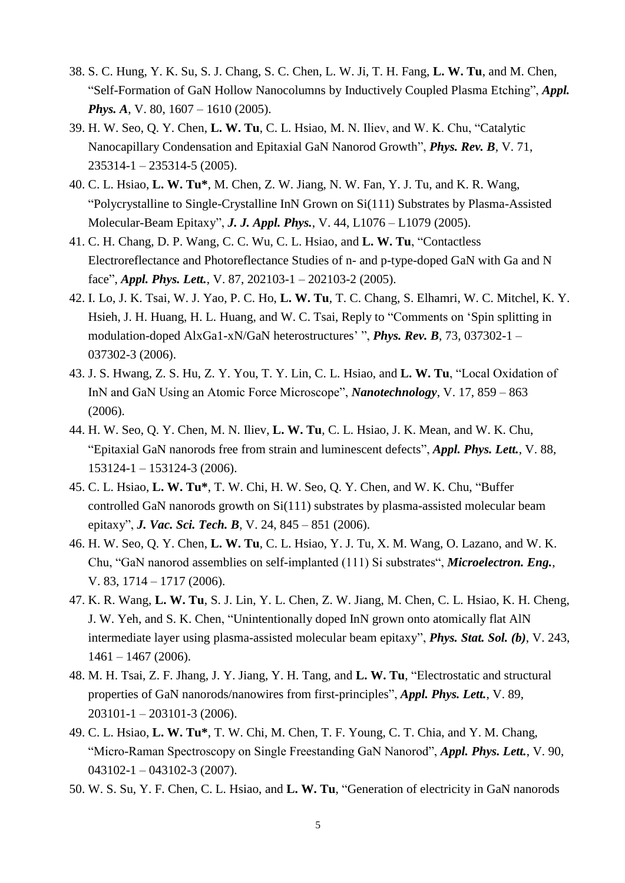- 38. S. C. Hung, Y. K. Su, S. J. Chang, S. C. Chen, L. W. Ji, T. H. Fang, **L. W. Tu**, and M. Chen, "Self-Formation of GaN Hollow Nanocolumns by Inductively Coupled Plasma Etching", *Appl. Phys. A, V. 80, 1607 – 1610 (2005).*
- 39. H. W. Seo, Q. Y. Chen, **L. W. Tu**, C. L. Hsiao, M. N. Iliev, and W. K. Chu, "Catalytic Nanocapillary Condensation and Epitaxial GaN Nanorod Growth", *Phys. Rev. B*, V. 71, 235314-1 – 235314-5 (2005).
- 40. C. L. Hsiao, **L. W. Tu\***, M. Chen, Z. W. Jiang, N. W. Fan, Y. J. Tu, and K. R. Wang, "Polycrystalline to Single-Crystalline InN Grown on Si(111) Substrates by Plasma-Assisted Molecular-Beam Epitaxy", *J. J. Appl. Phys.*, V. 44, L1076 – L1079 (2005).
- 41. C. H. Chang, D. P. Wang, C. C. Wu, C. L. Hsiao, and **L. W. Tu**, "Contactless Electroreflectance and Photoreflectance Studies of n- and p-type-doped GaN with Ga and N face", *Appl. Phys. Lett.*, V. 87, 202103-1 – 202103-2 (2005).
- 42. I. Lo, J. K. Tsai, W. J. Yao, P. C. Ho, **L. W. Tu**, T. C. Chang, S. Elhamri, W. C. Mitchel, K. Y. Hsieh, J. H. Huang, H. L. Huang, and W. C. Tsai, Reply to "Comments on 'Spin splitting in modulation-doped AlxGa1-xN/GaN heterostructures' ", *Phys. Rev. B*, 73, 037302-1 – 037302-3 (2006).
- 43. J. S. Hwang, Z. S. Hu, Z. Y. You, T. Y. Lin, C. L. Hsiao, and **L. W. Tu**, "Local Oxidation of InN and GaN Using an Atomic Force Microscope", *Nanotechnology*, V. 17, 859 – 863 (2006).
- 44. H. W. Seo, Q. Y. Chen, M. N. Iliev, **L. W. Tu**, C. L. Hsiao, J. K. Mean, and W. K. Chu, "Epitaxial GaN nanorods free from strain and luminescent defects", *Appl. Phys. Lett.*, V. 88, 153124-1 – 153124-3 (2006).
- 45. C. L. Hsiao, **L. W. Tu\***, T. W. Chi, H. W. Seo, Q. Y. Chen, and W. K. Chu, "Buffer controlled GaN nanorods growth on Si(111) substrates by plasma-assisted molecular beam epitaxy", *J. Vac. Sci. Tech. B*, V. 24, 845 – 851 (2006).
- 46. H. W. Seo, Q. Y. Chen, **L. W. Tu**, C. L. Hsiao, Y. J. Tu, X. M. Wang, O. Lazano, and W. K. Chu, "GaN nanorod assemblies on self-implanted (111) Si substrates", *Microelectron. Eng.*, V. 83, 1714 – 1717 (2006).
- 47. K. R. Wang, **L. W. Tu**, S. J. Lin, Y. L. Chen, Z. W. Jiang, M. Chen, C. L. Hsiao, K. H. Cheng, J. W. Yeh, and S. K. Chen, "Unintentionally doped InN grown onto atomically flat AlN intermediate layer using plasma-assisted molecular beam epitaxy", *Phys. Stat. Sol. (b)*, V. 243, 1461 – 1467 (2006).
- 48. M. H. Tsai, Z. F. Jhang, J. Y. Jiang, Y. H. Tang, and **L. W. Tu**, "Electrostatic and structural properties of GaN nanorods/nanowires from first-principles", *Appl. Phys. Lett.*, V. 89, 203101-1 – 203101-3 (2006).
- 49. C. L. Hsiao, **L. W. Tu\***, T. W. Chi, M. Chen, T. F. Young, C. T. Chia, and Y. M. Chang, "Micro-Raman Spectroscopy on Single Freestanding GaN Nanorod", *Appl. Phys. Lett.*, V. 90,  $043102 - 1 - 043102 - 3(2007)$ .
- 50. W. S. Su, Y. F. Chen, C. L. Hsiao, and **L. W. Tu**, "Generation of electricity in GaN nanorods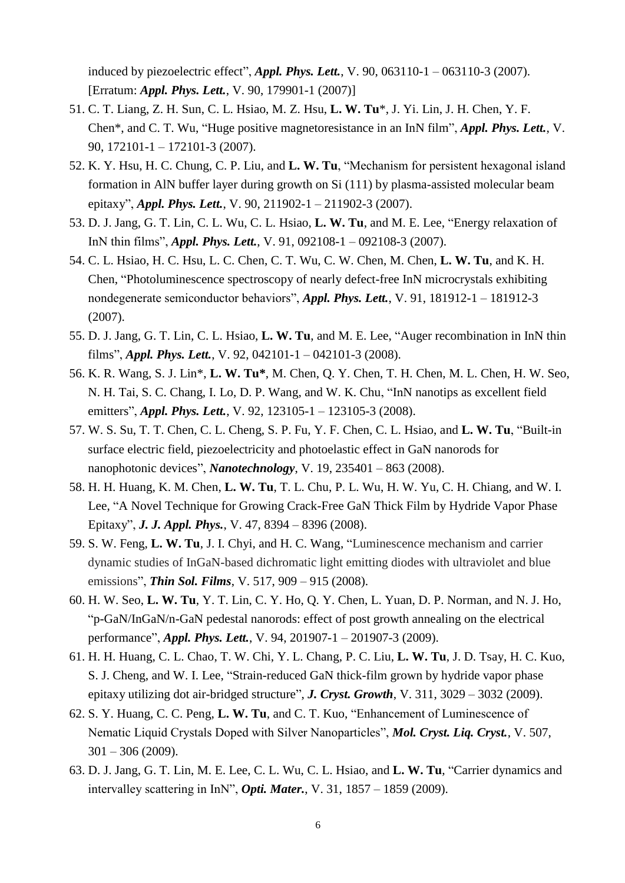induced by piezoelectric effect", *Appl. Phys. Lett.*, V. 90, 063110-1 – 063110-3 (2007). [Erratum: *Appl. Phys. Lett.*, V. 90, 179901-1 (2007)]

- 51. C. T. Liang, Z. H. Sun, C. L. Hsiao, M. Z. Hsu, **L. W. Tu**\*, J. Yi. Lin, J. H. Chen, Y. F. Chen\*, and C. T. Wu, "Huge positive magnetoresistance in an InN film", *Appl. Phys. Lett.*, V. 90, 172101-1 – 172101-3 (2007).
- 52. K. Y. Hsu, H. C. Chung, C. P. Liu, and **L. W. Tu**, "Mechanism for persistent hexagonal island formation in AlN buffer layer during growth on Si (111) by plasma-assisted molecular beam epitaxy", *Appl. Phys. Lett.*, V. 90, 211902-1 – 211902-3 (2007).
- 53. D. J. Jang, G. T. Lin, C. L. Wu, C. L. Hsiao, **L. W. Tu**, and M. E. Lee, "Energy relaxation of InN thin films", *Appl. Phys. Lett.*, V. 91, 092108-1 – 092108-3 (2007).
- 54. C. L. Hsiao, H. C. Hsu, L. C. Chen, C. T. Wu, C. W. Chen, M. Chen, **L. W. Tu**, and K. H. Chen, "Photoluminescence spectroscopy of nearly defect-free InN microcrystals exhibiting nondegenerate semiconductor behaviors", *Appl. Phys. Lett.*, V. 91, 181912-1 – 181912-3 (2007).
- 55. D. J. Jang, G. T. Lin, C. L. Hsiao, **L. W. Tu**, and M. E. Lee, "Auger recombination in InN thin films", *Appl. Phys. Lett.*, V. 92, 042101-1 – 042101-3 (2008).
- 56. K. R. Wang, S. J. Lin\*, **L. W. Tu\***, M. Chen, Q. Y. Chen, T. H. Chen, M. L. Chen, H. W. Seo, N. H. Tai, S. C. Chang, I. Lo, D. P. Wang, and W. K. Chu, "InN nanotips as excellent field emitters", *Appl. Phys. Lett.*, V. 92, 123105-1 – 123105-3 (2008).
- 57. W. S. Su, T. T. Chen, C. L. Cheng, S. P. Fu, Y. F. Chen, C. L. Hsiao, and **L. W. Tu**, "Built-in surface electric field, piezoelectricity and photoelastic effect in GaN nanorods for nanophotonic devices", *Nanotechnology*, V. 19, 235401 – 863 (2008).
- 58. H. H. Huang, K. M. Chen, **L. W. Tu**, T. L. Chu, P. L. Wu, H. W. Yu, C. H. Chiang, and W. I. Lee, "A Novel Technique for Growing Crack-Free GaN Thick Film by Hydride Vapor Phase Epitaxy", *J. J. Appl. Phys.*, V. 47, 8394 – 8396 (2008).
- 59. S. W. Feng, **L. W. Tu**, J. I. Chyi, and H. C. Wang, "Luminescence mechanism and carrier dynamic studies of InGaN-based dichromatic light emitting diodes with ultraviolet and blue emissions", *Thin Sol. Films*, V. 517, 909 – 915 (2008).
- 60. H. W. Seo, **L. W. Tu**, Y. T. Lin, C. Y. Ho, Q. Y. Chen, L. Yuan, D. P. Norman, and N. J. Ho, "p-GaN/InGaN/n-GaN pedestal nanorods: effect of post growth annealing on the electrical performance", *Appl. Phys. Lett.*, V. 94, 201907-1 – 201907-3 (2009).
- 61. H. H. Huang, C. L. Chao, T. W. Chi, Y. L. Chang, P. C. Liu, **L. W. Tu**, J. D. Tsay, H. C. Kuo, S. J. Cheng, and W. I. Lee, "Strain-reduced GaN thick-film grown by hydride vapor phase epitaxy utilizing dot air-bridged structure", *J. Cryst. Growth*, V. 311, 3029 – 3032 (2009).
- 62. S. Y. Huang, C. C. Peng, **L. W. Tu**, and C. T. Kuo, "Enhancement of Luminescence of Nematic Liquid Crystals Doped with Silver Nanoparticles", *Mol. Cryst. Liq. Cryst.*, V. 507,  $301 - 306 (2009)$ .
- 63. D. J. Jang, G. T. Lin, M. E. Lee, C. L. Wu, C. L. Hsiao, and **L. W. Tu**, "Carrier dynamics and intervalley scattering in InN", *Opti. Mater.*, V. 31, 1857 – 1859 (2009).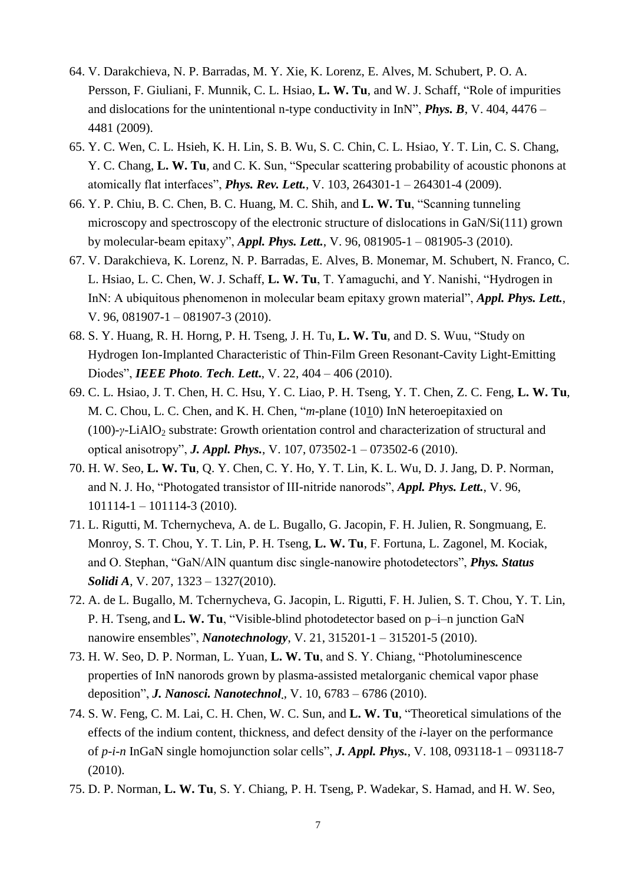- 64. V. Darakchieva, N. P. Barradas, M. Y. Xie, K. Lorenz, E. Alves, M. Schubert, P. O. A. Persson, F. Giuliani, F. Munnik, C. L. Hsiao, **L. W. Tu**, and W. J. Schaff, "Role of impurities and dislocations for the unintentional n-type conductivity in InN", *Phys. B*, V. 404, 4476 – 4481 (2009).
- 65. Y. C. Wen, C. L. Hsieh, K. H. Lin, S. B. Wu, S. C. Chin, C. L. Hsiao, Y. T. Lin, C. S. Chang, Y. C. Chang, **L. W. Tu**, and C. K. Sun, "Specular scattering probability of acoustic phonons at atomically flat interfaces", *Phys. Rev. Lett.*, V. 103, 264301-1 – 264301-4 (2009).
- 66. Y. P. Chiu, B. C. Chen, B. C. Huang, M. C. Shih, and **L. W. Tu**, "Scanning tunneling microscopy and spectroscopy of the electronic structure of dislocations in GaN/Si(111) grown by molecular-beam epitaxy", *Appl. Phys. Lett.*, V. 96, 081905-1 – 081905-3 (2010).
- 67. V. Darakchieva, K. Lorenz, N. P. Barradas, E. Alves, B. Monemar, M. Schubert, N. Franco, C. L. Hsiao, L. C. Chen, W. J. Schaff, **L. W. Tu**, T. Yamaguchi, and Y. Nanishi, "Hydrogen in InN: A ubiquitous phenomenon in molecular beam epitaxy grown material", *Appl. Phys. Lett.*, V. 96, 081907-1 – 081907-3 (2010).
- 68. S. Y. Huang, R. H. Horng, P. H. Tseng, J. H. Tu, **L. W. Tu**, and D. S. Wuu, "Study on Hydrogen Ion-Implanted Characteristic of Thin-Film Green Resonant-Cavity Light-Emitting Diodes", *IEEE Photo. Tech. Lett***.**, V. 22, 404 – 406 (2010).
- 69. C. L. Hsiao, J. T. Chen, H. C. Hsu, Y. C. Liao, P. H. Tseng, Y. T. Chen, Z. C. Feng, **L. W. Tu**, M. C. Chou, L. C. Chen, and K. H. Chen, "*m*-plane (1010) InN heteroepitaxied on (100)-*γ*-LiAlO<sup>2</sup> substrate: Growth orientation control and characterization of structural and optical anisotropy", *J. Appl. Phys.*, V. 107, 073502-1 – 073502-6 (2010).
- 70. H. W. Seo, **L. W. Tu**, Q. Y. Chen, C. Y. Ho, Y. T. Lin, K. L. Wu, D. J. Jang, D. P. Norman, and N. J. Ho, "Photogated transistor of III-nitride nanorods", *Appl. Phys. Lett.*, V. 96, 101114-1 – 101114-3 (2010).
- 71. L. Rigutti, M. Tchernycheva, A. de L. Bugallo, G. Jacopin, F. H. Julien, R. Songmuang, E. Monroy, S. T. Chou, Y. T. Lin, P. H. Tseng, **L. W. Tu**, F. Fortuna, L. Zagonel, M. Kociak, and O. Stephan, "GaN/AlN quantum disc single-nanowire photodetectors", *Phys. Status Solidi A*, V. 207, 1323 – 1327(2010).
- 72. A. de L. Bugallo, M. Tchernycheva, G. Jacopin, L. Rigutti, F. H. Julien, S. T. Chou, Y. T. Lin, P. H. Tseng, and **L. W. Tu**, "Visible-blind photodetector based on p–i–n junction GaN nanowire ensembles", *Nanotechnology*, V. 21, 315201-1 – 315201-5 (2010).
- 73. H. W. Seo, D. P. Norman, L. Yuan, **L. W. Tu**, and S. Y. Chiang, "Photoluminescence properties of InN nanorods grown by plasma-assisted metalorganic chemical vapor phase deposition", *J. Nanosci. Nanotechnol*., V. 10, 6783 – 6786 (2010).
- 74. S. W. Feng, C. M. Lai, C. H. Chen, W. C. Sun, and **L. W. Tu**, "Theoretical simulations of the effects of the indium content, thickness, and defect density of the *i*-layer on the performance of *p*-*i*-*n* InGaN single homojunction solar cells", *J. Appl. Phys.*, V. 108, 093118-1 – 093118-7 (2010).
- 75. D. P. Norman, **L. W. Tu**, S. Y. Chiang, P. H. Tseng, P. Wadekar, S. Hamad, and H. W. Seo,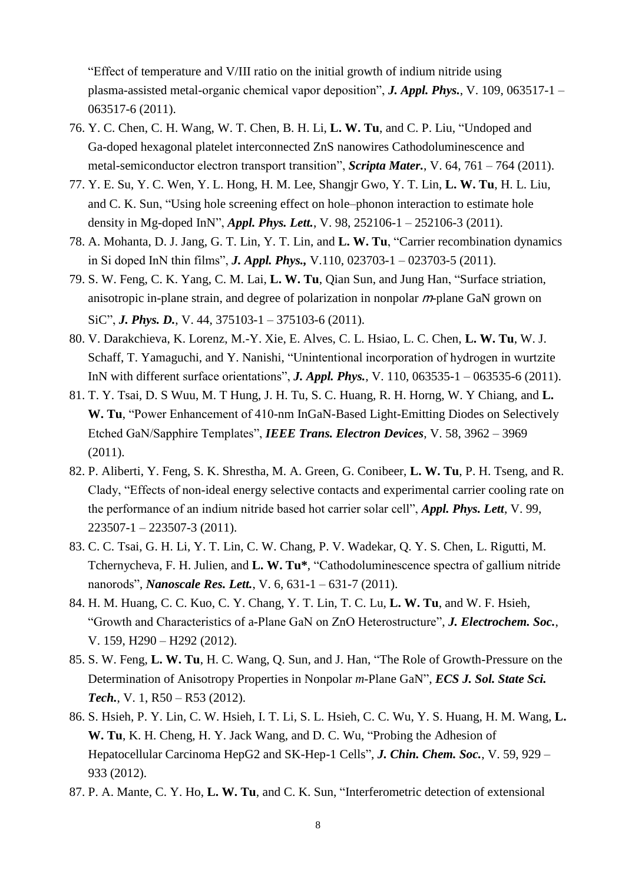"Effect of temperature and V/III ratio on the initial growth of indium nitride using plasma-assisted metal-organic chemical vapor deposition", *J. Appl. Phys.*, V. 109, 063517-1 – 063517-6 (2011).

- 76. Y. C. Chen, C. H. Wang, W. T. Chen, B. H. Li, **L. W. Tu**, and C. P. Liu, "Undoped and Ga-doped hexagonal platelet interconnected ZnS nanowires Cathodoluminescence and metal-semiconductor electron transport transition", *Scripta Mater.*, V. 64, 761 – 764 (2011).
- 77. Y. E. Su, Y. C. Wen, Y. L. Hong, H. M. Lee, Shangjr Gwo, Y. T. Lin, **L. W. Tu**, H. L. Liu, and C. K. Sun, "Using hole screening effect on hole–phonon interaction to estimate hole density in Mg-doped InN", *Appl. Phys. Lett.*, V. 98, 252106-1 – 252106-3 (2011).
- 78. A. Mohanta, D. J. Jang, G. T. Lin, Y. T. Lin, and **L. W. Tu**, "Carrier recombination dynamics in Si doped InN thin films", *J. Appl. Phys.,* V.110, 023703-1 – 023703-5 (2011).
- 79. S. W. Feng, C. K. Yang, C. M. Lai, **L. W. Tu**, Qian Sun, and Jung Han, "Surface striation, anisotropic in-plane strain, and degree of polarization in nonpolar  $m$ -plane GaN grown on SiC", *J. Phys. D.*, V. 44, 375103-1 – 375103-6 (2011).
- 80. V. Darakchieva, K. Lorenz, M.-Y. Xie, E. Alves, C. L. Hsiao, L. C. Chen, **L. W. Tu**, W. J. Schaff, T. Yamaguchi, and Y. Nanishi, "Unintentional incorporation of hydrogen in wurtzite InN with different surface orientations", *J. Appl. Phys.*, V. 110, 063535-1 – 063535-6 (2011).
- 81. T. Y. Tsai, D. S Wuu, M. T Hung, J. H. Tu, S. C. Huang, R. H. Horng, W. Y Chiang, and **L. W. Tu**, "Power Enhancement of 410-nm InGaN-Based Light-Emitting Diodes on Selectively Etched GaN/Sapphire Templates", *IEEE Trans. Electron Devices*, V. 58, 3962 – 3969 (2011).
- 82. P. Aliberti, Y. Feng, S. K. Shrestha, M. A. Green, G. Conibeer, **L. W. Tu**, P. H. Tseng, and R. Clady, "Effects of non-ideal energy selective contacts and experimental carrier cooling rate on the performance of an indium nitride based hot carrier solar cell", *Appl. Phys. Lett*, V. 99,  $223507 - 1 - 223507 - 3(2011)$ .
- 83. C. C. Tsai, G. H. Li, Y. T. Lin, C. W. Chang, P. V. Wadekar, Q. Y. S. Chen, L. Rigutti, M. Tchernycheva, F. H. Julien, and **L. W. Tu\***, "Cathodoluminescence spectra of gallium nitride nanorods", *Nanoscale Res. Lett.*, V. 6, 631-1 – 631-7 (2011).
- 84. H. M. Huang, C. C. Kuo, C. Y. Chang, Y. T. Lin, T. C. Lu, **L. W. Tu**, and W. F. Hsieh, "Growth and Characteristics of a-Plane GaN on ZnO Heterostructure", *J. Electrochem. Soc.*, V. 159, H290 – H292 (2012).
- 85. S. W. Feng, **L. W. Tu**, H. C. Wang, Q. Sun, and J. Han, "The Role of Growth-Pressure on the Determination of Anisotropy Properties in Nonpolar *m*-Plane GaN", *ECS J. Sol. State Sci. Tech.*, V. 1, R50 – R53 (2012).
- 86. S. Hsieh, P. Y. Lin, C. W. Hsieh, I. T. Li, S. L. Hsieh, C. C. Wu, Y. S. Huang, H. M. Wang, **L. W. Tu**, K. H. Cheng, H. Y. Jack Wang, and D. C. Wu, "Probing the Adhesion of Hepatocellular Carcinoma HepG2 and SK-Hep-1 Cells", *J. Chin. Chem. Soc.*, V. 59, 929 – 933 (2012).
- 87. P. A. Mante, C. Y. Ho, **L. W. Tu**, and C. K. Sun, "Interferometric detection of extensional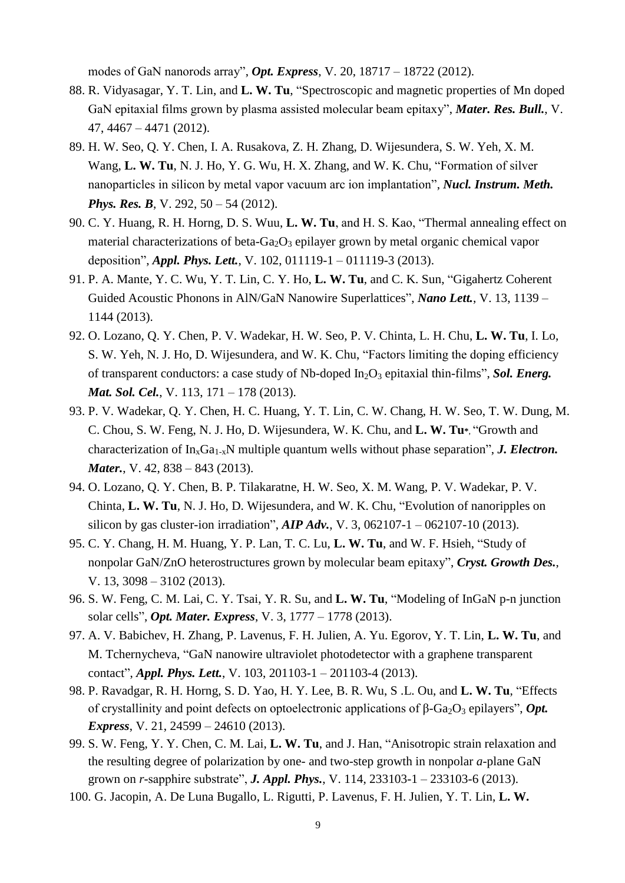modes of GaN nanorods array", *Opt. Express*, V. 20, 18717 – 18722 (2012).

- 88. R. Vidyasagar, Y. T. Lin, and **L. W. Tu**, "Spectroscopic and magnetic properties of Mn doped GaN epitaxial films grown by plasma assisted molecular beam epitaxy", *Mater. Res. Bull.*, V. 47, 4467 – 4471 (2012).
- 89. H. [W. Seo,](http://www.sciencedirect.com/science/article/pii/S0168583X12006076?v=s5) Q. [Y. Chen,](http://www.sciencedirect.com/science/article/pii/S0168583X12006076?v=s5) I. [A. Rusakova,](http://www.sciencedirect.com/science/article/pii/S0168583X12006076?v=s5) Z. [H. Zhang, D. Wijesundera,](http://www.sciencedirect.com/science/article/pii/S0168583X12006076?v=s5) S. [W. Yeh,](http://www.sciencedirect.com/science/article/pii/S0168583X12006076?v=s5) X. [M.](http://www.sciencedirect.com/science/article/pii/S0168583X12006076?v=s5)  [Wang,](http://www.sciencedirect.com/science/article/pii/S0168583X12006076?v=s5) **L. [W. Tu](http://www.sciencedirect.com/science/article/pii/S0168583X12006076?v=s5)**, N. [J. Ho,](http://www.sciencedirect.com/science/article/pii/S0168583X12006076?v=s5) Y. [G. Wu,](http://www.sciencedirect.com/science/article/pii/S0168583X12006076?v=s5) H. [X. Zhang,](http://www.sciencedirect.com/science/article/pii/S0168583X12006076?v=s5) and W. K. Chu, "Formation of silver nanoparticles in silicon by metal vapor vacuum arc ion implantation", *Nucl. Instrum. Meth. Phys. Res. B, V.* 292, 50 – 54 (2012).
- 90. C. Y. Huang, R. H. Horng, D. S. Wuu, **L. W. Tu**, and H. S. Kao, "Thermal annealing effect on material characterizations of beta-Ga<sub>2</sub>O<sub>3</sub> epilayer grown by metal organic chemical vapor deposition", *Appl. Phys. Lett.*, V. 102, 011119-1 – 011119-3 (2013).
- 91. P. A. Mante, Y. C. Wu, Y. T. Lin, C. Y. Ho, **L. W. Tu**, and C. K. Sun, "Gigahertz Coherent Guided Acoustic Phonons in AlN/GaN Nanowire Superlattices", *Nano Lett.*, V. 13, 1139 – 1144 (2013).
- 92. O. Lozano, Q. Y. Chen, P. V. Wadekar, H. W. Seo, P. V. Chinta, L. H. Chu, **L. W. Tu**, I. Lo, S. W. Yeh, N. J. Ho, D. Wijesundera, and W. K. Chu, "Factors limiting the doping efficiency of transparent conductors: a case study of Nb-doped In2O<sup>3</sup> epitaxial thin-films", *Sol. Energ. Mat. Sol. Cel.*, V. 113, 171 – 178 (2013).
- 93. P. V. Wadekar, Q. Y. Chen, H. C. Huang, Y. T. Lin, C. W. Chang, H. W. Seo, T. W. Dung, M. C. Chou, S. W. Feng, N. J. Ho, D. Wijesundera, W. K. Chu, and **L. W. Tu\***, "Growth and characterization of In<sub>x</sub>Ga<sub>1-x</sub>N multiple quantum wells without phase separation", *J. Electron. Mater., V. 42, 838 – 843 (2013).*
- 94. O. Lozano, Q. Y. Chen, B. P. Tilakaratne, H. W. Seo, X. M. Wang, P. V. Wadekar, P. V. Chinta, **L. W. Tu**, N. J. Ho, D. Wijesundera, and W. K. Chu, "Evolution of nanoripples on silicon by gas cluster-ion irradiation", *AIP Adv.*, V. 3, 062107-1 – 062107-10 (2013).
- 95. C. Y. Chang, H. M. Huang, Y. P. Lan, T. C. Lu, **L. W. Tu**, and W. F. Hsieh, "Study of nonpolar GaN/ZnO heterostructures grown by molecular beam epitaxy", *Cryst. Growth Des.*, V. 13, 3098 – 3102 (2013).
- 96. S. W. Feng, C. M. Lai, C. Y. Tsai, Y. R. Su, and **L. W. Tu**, "Modeling of InGaN p-n junction solar cells", *Opt. Mater. Express*, V. 3, 1777 – 1778 (2013).
- 97. A. V. Babichev, H. Zhang, P. Lavenus, F. H. Julien, A. Yu. Egorov, Y. T. Lin, **L. W. Tu**, and M. Tchernycheva, "GaN nanowire ultraviolet photodetector with a graphene transparent contact", *Appl. Phys. Lett.*, V. 103, 201103-1 – 201103-4 (2013).
- 98. P. Ravadgar, R. H. Horng, S. D. Yao, H. Y. Lee, B. R. Wu, S .L. Ou, and **L. W. Tu**, "Effects of crystallinity and point defects on optoelectronic applications of β-Ga<sub>2</sub>O<sub>3</sub> epilayers", *Opt*. *Express*, V. 21, 24599 – 24610 (2013).
- 99. S. W. Feng, Y. Y. Chen, C. M. Lai, **L. W. Tu**, and J. Han, "Anisotropic strain relaxation and the resulting degree of polarization by one- and two-step growth in nonpolar *a*-plane GaN grown on *r*-sapphire substrate", *J. Appl. Phys.*, V. 114, 233103-1 – 233103-6 (2013).
- 100. [G. Jacopin,](http://scitation.aip.org/search;jsessionid=4r21m687n48fs.x-aip-live-01?value1=G.+Jacopin&option1=author&noRedirect=true) [A. De Luna Bugallo,](http://scitation.aip.org/search;jsessionid=4r21m687n48fs.x-aip-live-01?value1=A.+De+Luna+Bugallo&option1=author&noRedirect=true) [L. Rigutti,](http://scitation.aip.org/search;jsessionid=4r21m687n48fs.x-aip-live-01?value1=L.+Rigutti&option1=author&noRedirect=true) [P. Lavenus,](http://scitation.aip.org/search;jsessionid=4r21m687n48fs.x-aip-live-01?value1=P.+Lavenus&option1=author&noRedirect=true) [F. H. Julien,](http://scitation.aip.org/search;jsessionid=4r21m687n48fs.x-aip-live-01?value1=F.+H.+Julien&option1=author&noRedirect=true) Y. [T. Lin,](http://scitation.aip.org/search;jsessionid=4r21m687n48fs.x-aip-live-01?value1=Yuan-Ting+Lin&option1=author&noRedirect=true) **[L. W.](http://scitation.aip.org/search;jsessionid=4r21m687n48fs.x-aip-live-01?value1=Li-Wei+Tu&option1=author&noRedirect=true)**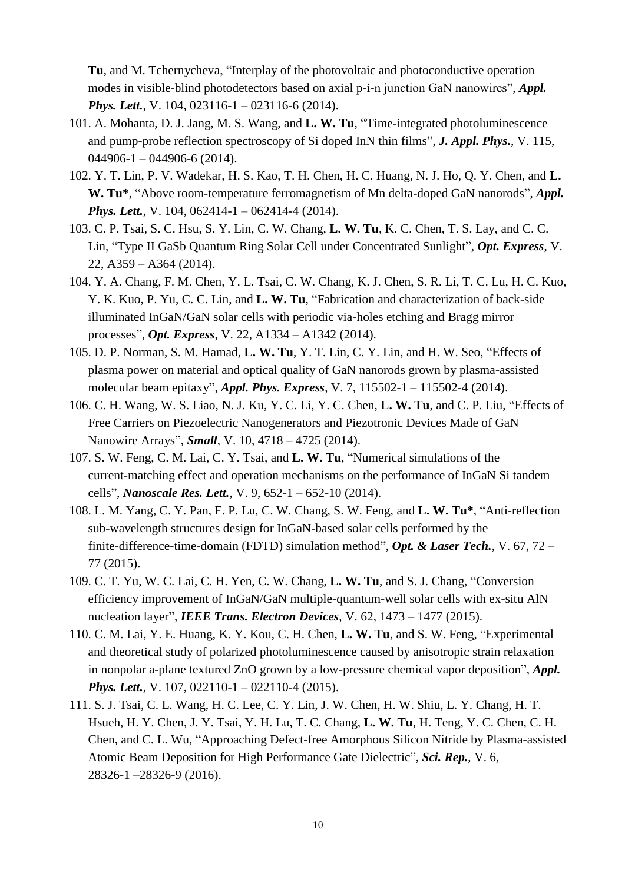**[Tu](http://scitation.aip.org/search;jsessionid=4r21m687n48fs.x-aip-live-01?value1=Li-Wei+Tu&option1=author&noRedirect=true)**, and [M. Tchernycheva,](http://scitation.aip.org/search;jsessionid=4r21m687n48fs.x-aip-live-01?value1=M.+Tchernycheva&option1=author&noRedirect=true) "Interplay of the photovoltaic and photoconductive operation modes in visible-blind photodetectors based on axial p-i-n junction GaN nanowires", *Appl. Phys. Lett.*, V. 104, 023116-1 – 023116-6 (2014).

- 101. A. Mohanta, D. J. Jang, M. S. Wang, and **L. W. Tu**, "Time-integrated photoluminescence and pump-probe reflection spectroscopy of Si doped InN thin films", *J. Appl. Phys.*, V. 115,  $044906 - 1 - 044906 - 6(2014)$ .
- 102. Y. T. Lin, P. V. Wadekar, H. S. Kao, T. H. Chen, H. C. Huang, N. J. Ho, Q. Y. Chen, and **L. W. Tu\***, "Above room-temperature ferromagnetism of Mn delta-doped GaN nanorods", *Appl. Phys. Lett., V.* 104, 062414-1 – 062414-4 (2014).
- 103. C. P. Tsai, S. C. Hsu, S. Y. Lin, C. W. Chang, **L. W. Tu**, K. C. Chen, T. S. Lay, and C. C. Lin, "Type II GaSb Quantum Ring Solar Cell under Concentrated Sunlight", *Opt. Express*, V. 22, A359 – A364 (2014).
- 104. Y. A. Chang, F. M. Chen, Y. L. Tsai, C. W. Chang, K. J. Chen, S. R. Li, T. C. Lu, H. C. Kuo, Y. K. Kuo, P. Yu, C. C. Lin, and **L. W. Tu**, "Fabrication and characterization of back-side illuminated InGaN/GaN solar cells with periodic via-holes etching and Bragg mirror processes", *Opt. Express*, V. 22, A1334 – A1342 (2014).
- 105. D. P. Norman, S. M. Hamad, **L. W. Tu**, Y. T. Lin, C. Y. Lin, and H. W. Seo, "Effects of plasma power on material and optical quality of GaN nanorods grown by plasma-assisted molecular beam epitaxy", *Appl. Phys. Express*, V. 7, 115502-1 – 115502-4 (2014).
- 106. C. H. Wang, W. S. Liao, N. J. Ku, Y. C. Li, Y. C. Chen, **L. W. Tu**, and C. P. Liu, "Effects of Free Carriers on Piezoelectric Nanogenerators and Piezotronic Devices Made of GaN Nanowire Arrays", *Small*, V. 10, 4718 – 4725 (2014).
- 107. S. W. Feng, C. M. Lai, C. Y. Tsai, and **L. W. Tu**, "Numerical simulations of the current-matching effect and operation mechanisms on the performance of InGaN Si tandem cells", *Nanoscale Res. Lett.*, V. 9, 652-1 – 652-10 (2014).
- 108. L. M. Yang, C. Y. Pan, F. P. Lu, C. W. Chang, S. W. Feng, and **L. W. Tu\***, "Anti-reflection sub-wavelength structures design for InGaN-based solar cells performed by the finite-difference-time-domain (FDTD) simulation method", *Opt. & Laser Tech.*, V. 67, 72 – 77 (2015).
- 109. C. T. Yu, W. C. Lai, C. H. Yen, C. W. Chang, **L. W. Tu**, and S. J. Chang, "Conversion efficiency improvement of InGaN/GaN multiple-quantum-well solar cells with ex-situ AlN nucleation layer", *IEEE Trans. Electron Devices*, V. 62, 1473 – 1477 (2015).
- 110. C. M. Lai, Y. E. Huang, K. Y. Kou, C. H. Chen, **L. W. Tu**, and S. W. Feng, "Experimental and theoretical study of polarized photoluminescence caused by anisotropic strain relaxation in nonpolar a-plane textured ZnO grown by a low-pressure chemical vapor deposition", *Appl. Phys. Lett.*, V. 107, 022110-1 – 022110-4 (2015).
- 111. S. J. Tsai, C. L. Wang, H. C. Lee, C. Y. Lin, J. W. Chen, H. W. Shiu, L. Y. Chang, H. T. Hsueh, H. Y. Chen, J. Y. Tsai, Y. H. Lu, T. C. Chang, **L. W. Tu**, H. Teng, Y. C. Chen, C. H. Chen, and C. L. Wu, "Approaching Defect-free Amorphous Silicon Nitride by Plasma-assisted Atomic Beam Deposition for High Performance Gate Dielectric", *Sci. Rep.*, V. 6, 28326-1 –28326-9 (2016).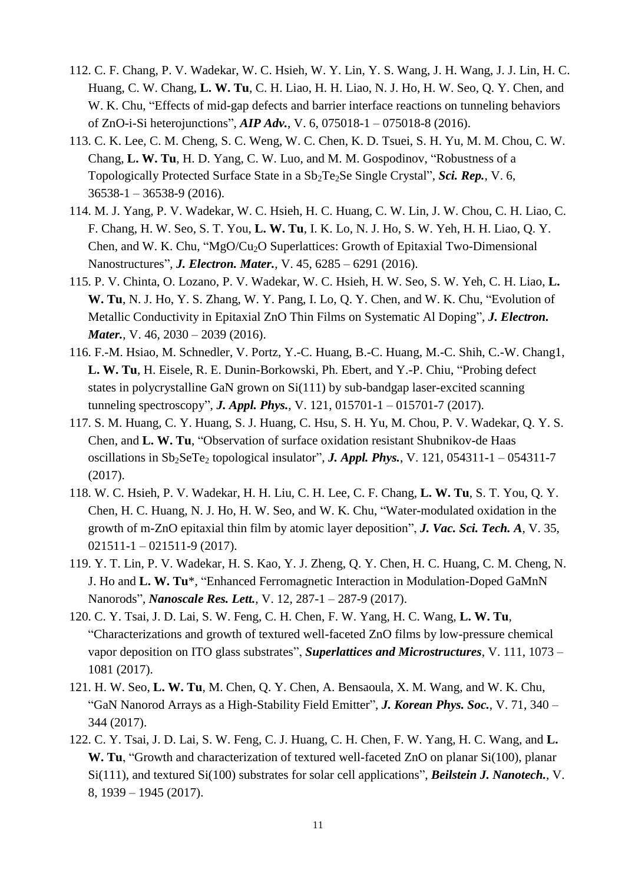- 112. C. F. Chang, P. V. Wadekar, W. C. Hsieh, W. Y. Lin, Y. S. Wang, J. H. Wang, J. J. Lin, H. C. Huang, C. W. Chang, **L. W. Tu**, C. H. Liao, H. H. Liao, N. J. Ho, H. W. Seo, Q. Y. Chen, and W. K. Chu, "Effects of mid-gap defects and barrier interface reactions on tunneling behaviors of ZnO-i-Si heterojunctions", *AIP Adv.*, V. 6, 075018-1 – 075018-8 (2016).
- 113. C. K. Lee, C. M. Cheng, S. C. Weng, W. C. Chen, K. D. Tsuei, S. H. Yu, M. M. Chou, C. W. Chang, **L. W. Tu**, H. D. Yang, C. W. Luo, and M. M. Gospodinov, "Robustness of a Topologically Protected Surface State in a  $Sb_2Te_2Se$  Single Crystal", *Sci. Rep.*, V. 6, 36538-1 – 36538-9 (2016).
- 114. M. J. Yang, P. V. Wadekar, W. C. Hsieh, H. C. Huang, C. W. Lin, J. W. Chou, C. H. Liao, C. F. Chang, H. W. Seo, S. T. You, **L. W. Tu**, I. K. Lo, N. J. Ho, S. W. Yeh, H. H. Liao, Q. Y. Chen, and W. K. Chu, "MgO/Cu<sub>2</sub>O Superlattices: Growth of Epitaxial Two-Dimensional Nanostructures", *J. Electron. Mater.*, V. 45, 6285 – 6291 (2016).
- 115. P. V. Chinta, O. Lozano, P. V. Wadekar, W. C. Hsieh, H. W. Seo, S. W. Yeh, C. H. Liao, **L. W. Tu**, N. J. Ho, Y. S. Zhang, W. Y. Pang, I. Lo, Q. Y. Chen, and W. K. Chu, "Evolution of Metallic Conductivity in Epitaxial ZnO Thin Films on Systematic Al Doping", *J. Electron. Mater.*, V. 46, 2030 – 2039 (2016).
- 116. F.-M. Hsiao, M. Schnedler, V. Portz, Y.-C. Huang, B.-C. Huang, M.-C. Shih, C.-W. Chang1, **L. W. Tu**, H. Eisele, R. E. Dunin-Borkowski, Ph. Ebert, and Y.-P. Chiu, "Probing defect states in polycrystalline GaN grown on Si(111) by sub-bandgap laser-excited scanning tunneling spectroscopy", *J. Appl. Phys.*, V. 121, 015701-1 – 015701-7 (2017).
- 117. S. M. Huang, C. Y. Huang, S. J. Huang, C. Hsu, S. H. Yu, M. Chou, P. V. Wadekar, Q. Y. S. Chen, and **L. W. Tu**, "Observation of surface oxidation resistant Shubnikov-de Haas oscillations in  $Sb_2SeTe_2$  topological insulator", *J. Appl. Phys.*, V. 121, 054311-1 – 054311-7 (2017).
- 118. W. C. Hsieh, P. V. Wadekar, H. H. Liu, C. H. Lee, C. F. Chang, **L. W. Tu**, S. T. You, Q. Y. Chen, H. C. Huang, N. J. Ho, H. W. Seo, and W. K. Chu, "Water-modulated oxidation in the growth of m-ZnO epitaxial thin film by atomic layer deposition", *J. Vac. Sci. Tech. A*, V. 35, 021511-1 – 021511-9 (2017).
- 119. Y. T. Lin, P. V. Wadekar, H. S. Kao, Y. J. Zheng, Q. Y. Chen, H. C. Huang, C. M. Cheng, N. J. Ho and **L. W. Tu**\*, "Enhanced Ferromagnetic Interaction in Modulation-Doped GaMnN Nanorods", *Nanoscale Res. Lett.*, V. 12, 287-1 – 287-9 (2017).
- 120. C. Y. Tsai, J. D. Lai, S. W. Feng, C. H. Chen, F. W. Yang, H. C. Wang, **L. W. Tu**, "Characterizations and growth of textured well-faceted ZnO films by low-pressure chemical vapor deposition on ITO glass substrates", *Superlattices and Microstructures*, V. 111, 1073 – 1081 (2017).
- 121. H. W. Seo, **L. W. Tu**, M. Chen, Q. Y. Chen, A. Bensaoula, X. M. Wang, and W. K. Chu, "GaN Nanorod Arrays as a High-Stability Field Emitter", *J. Korean Phys. Soc.*, V. 71, 340 – 344 (2017).
- 122. C. Y. Tsai, J. D. Lai, S. W. Feng, C. J. Huang, C. H. Chen, F. W. Yang, H. C. Wang, and **L. W. Tu**, "Growth and characterization of textured well-faceted ZnO on planar Si(100), planar Si(111), and textured Si(100) substrates for solar cell applications", *Beilstein J. Nanotech.*, V. 8, 1939 – 1945 (2017).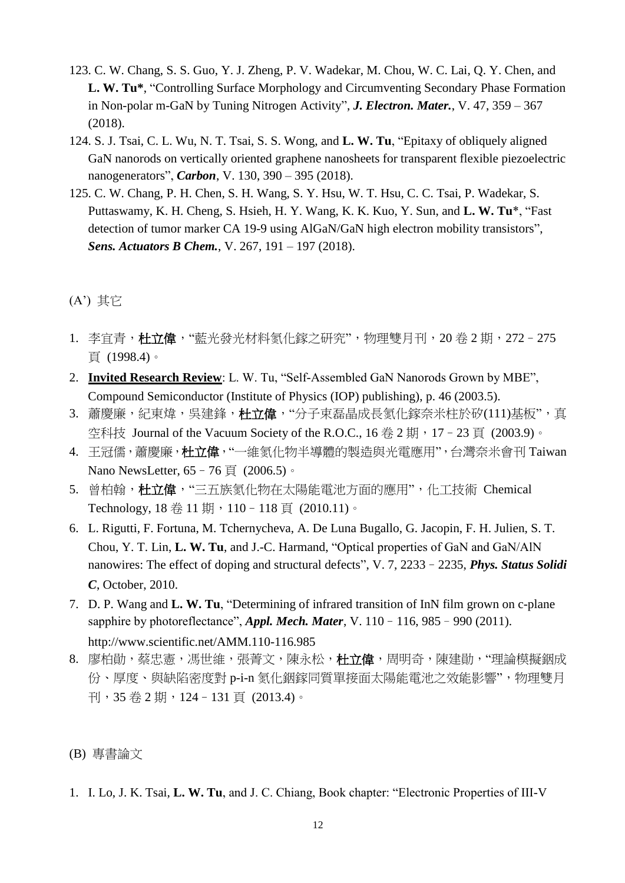- 123. C. W. Chang, S. S. Guo, Y. J. Zheng, P. V. Wadekar, M. Chou, W. C. Lai, Q. Y. Chen, and **L. W. Tu\***, "Controlling Surface Morphology and Circumventing Secondary Phase Formation in Non-polar m-GaN by Tuning Nitrogen Activity", *J. Electron. Mater.*, V. 47, 359 – 367 (2018).
- 124. S. J. Tsai, C. L. Wu, N. T. Tsai, S. S. Wong, and **L. W. Tu**, "Epitaxy of obliquely aligned GaN nanorods on vertically oriented graphene nanosheets for transparent flexible piezoelectric nanogenerators", *Carbon*, V. 130, 390 – 395 (2018).
- 125. C. W. Chang, P. H. Chen, S. H. Wang, S. Y. Hsu, W. T. Hsu, C. C. Tsai, P. Wadekar, S. Puttaswamy, K. H. Cheng, S. Hsieh, H. Y. Wang, K. K. Kuo, Y. Sun, and **L. W. Tu**\*, "Fast detection of tumor marker CA 19-9 using AlGaN/GaN high electron mobility transistors", *Sens. Actuators B Chem.*, V. 267, 191 – 197 (2018).

### (A') 其它

- 1. 李官青,杜立偉,"藍光發光材料氡化鎵之研究",物理雙月刊, 20 卷 2 期, 272-275 頁 (1998.4)。
- 2. **Invited Research Review**: L. W. Tu, "Self-Assembled GaN Nanorods Grown by MBE", Compound Semiconductor (Institute of Physics (IOP) publishing), p. 46 (2003.5).
- 3. 蕭慶廉,紀東煒,吳建鋒,杜立偉,"分子束磊晶成長氮化鎵奈米柱於矽(111)基板",真 空科技 Journal of the Vacuum Society of the R.O.C., 16 卷 2 期, 17-23 頁 (2003.9)。
- 4. 王冠儒,蕭慶廉,杜立偉, "一維氮化物半導體的製造與光電應用", 台灣奈米會刊 Taiwan Nano NewsLetter, 65 - 76 頁 (2006.5)。
- 5. 曾柏翰,杜立偉,"三五族氮化物在太陽能電池方面的應用",化工技術 Chemical Technology, 18卷 11期, 110-118頁 (2010.11)。
- 6. L. Rigutti, F. Fortuna, M. Tchernycheva, A. De Luna Bugallo, G. Jacopin, F. H. Julien, S. T. Chou, Y. T. Lin, **L. W. Tu**, and J.-C. Harmand, "Optical properties of GaN and GaN/AlN nanowires: The effect of doping and structural defects", V. 7, 2233–2235, *Phys. Status Solidi C*, October, 2010.
- 7. D. P. Wang and **L. W. Tu**, "Determining of infrared transition of InN film grown on c-plane sapphire by photoreflectance", *Appl. Mech. Mater*, V. 110–116, 985–990 (2011). http://www.scientific.net/AMM.110-116.985
- 8. 廖柏勛,蔡忠憲,馮世維,張菁文,陳永松,杜立偉,周明奇,陳建勛,"理論模擬銦成 份、厚度、與缺陷密度對 p-i-n 氮化銦鎵同質單接面太陽能電池之效能影響",物理雙月 刊,35 卷 2 期,124–131 頁 (2013.4)。

### (B) 專書論文

1. I. Lo, J. K. Tsai, **L. W. Tu**, and J. C. Chiang, Book chapter: "Electronic Properties of III-V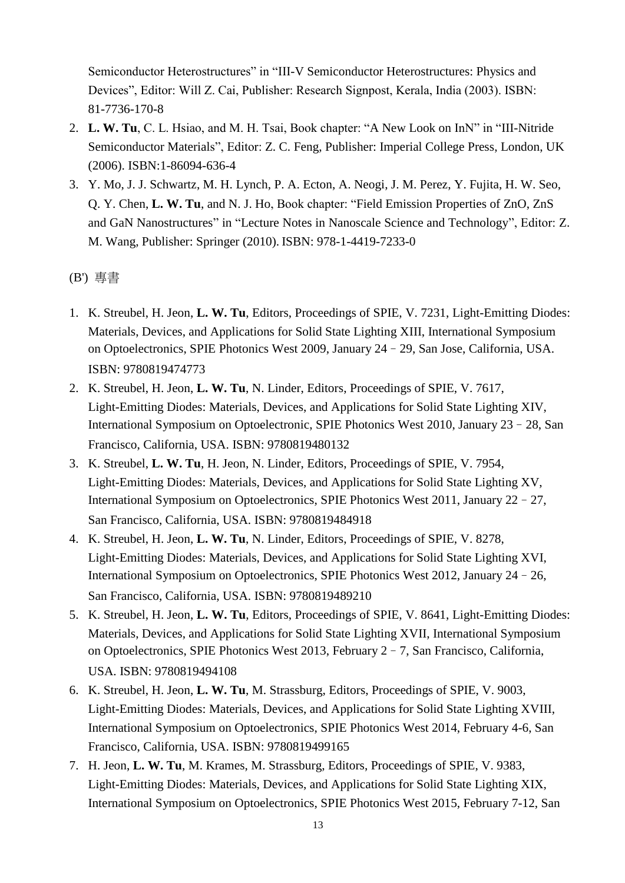Semiconductor Heterostructures" in "III-V Semiconductor Heterostructures: Physics and Devices", Editor: Will Z. Cai, Publisher: Research Signpost, Kerala, India (2003). ISBN: 81-7736-170-8

- 2. **L. W. Tu**, C. L. Hsiao, and M. H. Tsai, Book chapter: "A New Look on InN" in "III-Nitride Semiconductor Materials", Editor: Z. C. Feng, Publisher: Imperial College Press, London, UK (2006). ISBN:1-86094-636-4
- 3. Y. Mo, J. J. Schwartz, M. H. Lynch, P. A. Ecton, A. Neogi, J. M. Perez, Y. Fujita, H. W. Seo, Q. Y. Chen, **L. W. Tu**, and N. J. Ho, Book chapter: "Field Emission Properties of ZnO, ZnS and GaN Nanostructures" in "Lecture Notes in Nanoscale Science and Technology", Editor: Z. M. Wang, Publisher: Springer (2010). ISBN: 978-1-4419-7233-0

(B') 專書

- 1. K. Streubel, H. Jeon, **L. W. Tu**, Editors, Proceedings of SPIE, V. 7231, Light-Emitting Diodes: Materials, Devices, and Applications for Solid State Lighting XIII, International Symposium on Optoelectronics, SPIE Photonics West 2009, January 24–29, San Jose, California, USA. ISBN: 9780819474773
- 2. K. Streubel, H. Jeon, **L. W. Tu**, N. Linder, Editors, Proceedings of SPIE, V. 7617, Light-Emitting Diodes: Materials, Devices, and Applications for Solid State Lighting XIV, International Symposium on Optoelectronic, SPIE Photonics West 2010, January 23–28, San Francisco, California, USA. ISBN: 9780819480132
- 3. K. Streubel, **L. W. Tu**, H. Jeon, N. Linder, Editors, Proceedings of SPIE, V. 7954, Light-Emitting Diodes: Materials, Devices, and Applications for Solid State Lighting XV, International Symposium on Optoelectronics, SPIE Photonics West 2011, January 22–27, San Francisco, California, USA. ISBN: 9780819484918
- 4. K. Streubel, H. Jeon, **L. W. Tu**, N. Linder, Editors, Proceedings of SPIE, V. 8278, Light-Emitting Diodes: Materials, Devices, and Applications for Solid State Lighting XVI, International Symposium on Optoelectronics, SPIE Photonics West 2012, January 24–26, San Francisco, California, USA. ISBN: 9780819489210
- 5. K. Streubel, H. Jeon, **L. W. Tu**, Editors, Proceedings of SPIE, V. 8641, Light-Emitting Diodes: Materials, Devices, and Applications for Solid State Lighting XVII, International Symposium on Optoelectronics, SPIE Photonics West 2013, February 2–7, San Francisco, California, USA. ISBN: 9780819494108
- 6. K. Streubel, H. Jeon, **L. W. Tu**, M. Strassburg, Editors, Proceedings of SPIE, V. 9003, Light-Emitting Diodes: Materials, Devices, and Applications for Solid State Lighting XVIII, International Symposium on Optoelectronics, SPIE Photonics West 2014, February 4-6, San Francisco, California, USA. ISBN: 9780819499165
- 7. H. Jeon, **L. W. Tu**, M. Krames, M. Strassburg, Editors, Proceedings of SPIE, V. 9383, Light-Emitting Diodes: Materials, Devices, and Applications for Solid State Lighting XIX, International Symposium on Optoelectronics, SPIE Photonics West 2015, February 7-12, San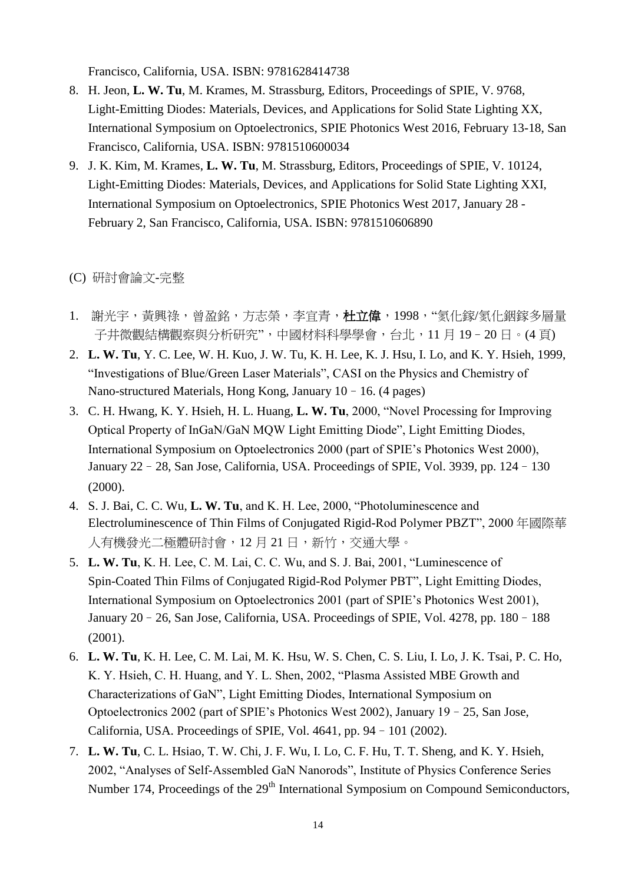Francisco, California, USA. ISBN: 9781628414738

- 8. H. Jeon, **L. W. Tu**, M. Krames, M. Strassburg, Editors, Proceedings of SPIE, V. 9768, Light-Emitting Diodes: Materials, Devices, and Applications for Solid State Lighting XX, International Symposium on Optoelectronics, SPIE Photonics West 2016, February 13-18, San Francisco, California, USA. ISBN: 9781510600034
- 9. J. K. Kim, M. Krames, **L. W. Tu**, M. Strassburg, Editors, Proceedings of SPIE, V. 10124, Light-Emitting Diodes: Materials, Devices, and Applications for Solid State Lighting XXI, International Symposium on Optoelectronics, SPIE Photonics West 2017, January 28 - February 2, San Francisco, California, USA. ISBN: 9781510606890

### (C) 研討會論文-完整

- 1. 謝光宇,黃興祿,曾盈銘,方志榮,李宜青,杜立偉,1998,"氮化鎵/氮化銦鎵多層量 子井微觀結構觀察與分析研究",中國材料科學學會,台北,11月 19 - 20日。(4 頁)
- 2. **L. W. Tu**, Y. C. Lee, W. H. Kuo, J. W. Tu, K. H. Lee, K. J. Hsu, I. Lo, and K. Y. Hsieh, 1999, "Investigations of Blue/Green Laser Materials", CASI on the Physics and Chemistry of Nano-structured Materials, Hong Kong, January 10–16. (4 pages)
- 3. C. H. Hwang, K. Y. Hsieh, H. L. Huang, **L. W. Tu**, 2000, "Novel Processing for Improving Optical Property of InGaN/GaN MQW Light Emitting Diode", Light Emitting Diodes, International Symposium on Optoelectronics 2000 (part of SPIE's Photonics West 2000), January 22–28, San Jose, California, USA. Proceedings of SPIE, Vol. 3939, pp. 124–130 (2000).
- 4. S. J. Bai, C. C. Wu, **L. W. Tu**, and K. H. Lee, 2000, "Photoluminescence and Electroluminescence of Thin Films of Conjugated Rigid-Rod Polymer PBZT", 2000 年國際華 人有機發光二極體研討會,12 月 21 日,新竹,交通大學。
- 5. **L. W. Tu**, K. H. Lee, C. M. Lai, C. C. Wu, and S. J. Bai, 2001, "Luminescence of Spin-Coated Thin Films of Conjugated Rigid-Rod Polymer PBT", Light Emitting Diodes, International Symposium on Optoelectronics 2001 (part of SPIE's Photonics West 2001), January 20–26, San Jose, California, USA. Proceedings of SPIE, Vol. 4278, pp. 180–188 (2001).
- 6. **L. W. Tu**, K. H. Lee, C. M. Lai, M. K. Hsu, W. S. Chen, C. S. Liu, I. Lo, J. K. Tsai, P. C. Ho, K. Y. Hsieh, C. H. Huang, and Y. L. Shen, 2002, "Plasma Assisted MBE Growth and Characterizations of GaN", Light Emitting Diodes, International Symposium on Optoelectronics 2002 (part of SPIE's Photonics West 2002), January 19–25, San Jose, California, USA. Proceedings of SPIE, Vol. 4641, pp. 94–101 (2002).
- 7. **L. W. Tu**, C. L. Hsiao, T. W. Chi, J. F. Wu, I. Lo, C. F. Hu, T. T. Sheng, and K. Y. Hsieh, 2002, "Analyses of Self-Assembled GaN Nanorods", Institute of Physics Conference Series Number 174, Proceedings of the 29<sup>th</sup> International Symposium on Compound Semiconductors,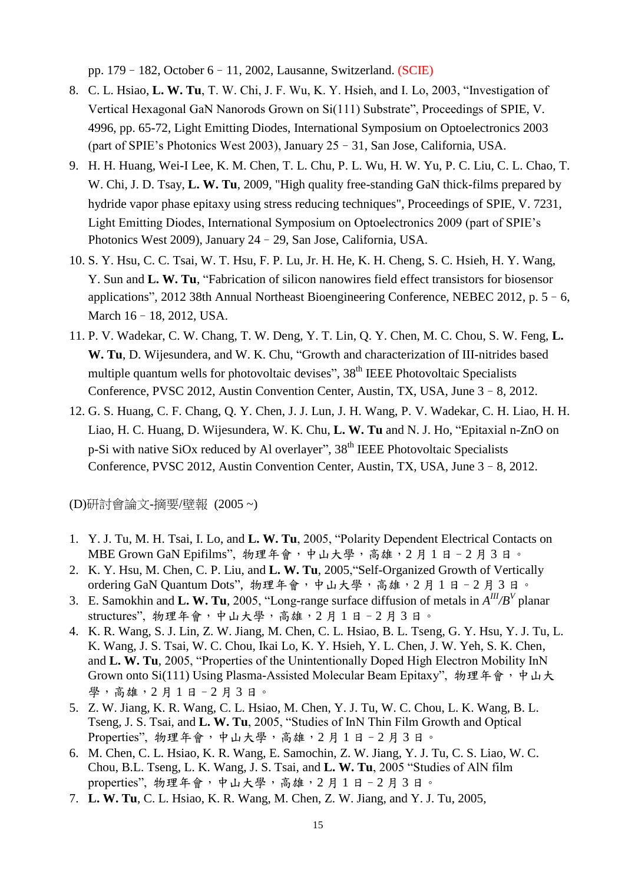pp. 179–182, October 6–11, 2002, Lausanne, Switzerland. (SCIE)

- 8. C. L. Hsiao, **L. W. Tu**, T. W. Chi, J. F. Wu, K. Y. Hsieh, and I. Lo, 2003, "Investigation of Vertical Hexagonal GaN Nanorods Grown on Si(111) Substrate", Proceedings of SPIE, V. 4996, pp. 65-72, Light Emitting Diodes, International Symposium on Optoelectronics 2003 (part of SPIE's Photonics West 2003), January 25–31, San Jose, California, USA.
- 9. H. H. Huang, Wei-I Lee, K. M. Chen, T. L. Chu, P. L. Wu, H. W. Yu, P. C. Liu, C. L. Chao, T. W. Chi, J. D. Tsay, **L. W. Tu**, 2009, "High quality free-standing GaN thick-films prepared by hydride vapor phase epitaxy using stress reducing techniques", Proceedings of SPIE, V. 7231, Light Emitting Diodes, International Symposium on Optoelectronics 2009 (part of SPIE's Photonics West 2009), January 24–29, San Jose, California, USA.
- 10. S. Y. Hsu, C. C. Tsai, W. T. Hsu, F. P. Lu, Jr. H. He, K. H. Cheng, S. C. Hsieh, H. Y. Wang, Y. Sun and **L. W. Tu**, "Fabrication of silicon nanowires field effect transistors for biosensor applications", 2012 38th Annual Northeast Bioengineering Conference, NEBEC 2012, p. 5–6, March 16–18, 2012, USA.
- 11. P. V. Wadekar, C. W. Chang, T. W. Deng, Y. T. Lin, Q. Y. Chen, M. C. Chou, S. W. Feng, **L. W. Tu**, D. Wijesundera, and W. K. Chu, "Growth and characterization of III-nitrides based multiple quantum wells for photovoltaic devises",  $38<sup>th</sup>$  IEEE Photovoltaic Specialists Conference, PVSC 2012, Austin Convention Center, Austin, TX, USA, June 3–8, 2012.
- 12. G. S. Huang, C. F. Chang, Q. Y. Chen, J. J. Lun, J. H. Wang, P. V. Wadekar, C. H. Liao, H. H. Liao, H. C. Huang, D. Wijesundera, W. K. Chu, **L. W. Tu** and N. J. Ho, "Epitaxial n-ZnO on p-Si with native SiOx reduced by Al overlayer", 38<sup>th</sup> IEEE Photovoltaic Specialists Conference, PVSC 2012, Austin Convention Center, Austin, TX, USA, June 3–8, 2012.

(D)研討會論文-摘要/壁報 (2005 ~)

- 1. Y. J. Tu, M. H. Tsai, I. Lo, and **L. W. Tu**, 2005, "Polarity Dependent Electrical Contacts on MBE Grown GaN Epifilms", 物理年會,中山大學,高雄,2月1日-2月3日。
- 2. K. Y. Hsu, M. Chen, C. P. Liu, and **L. W. Tu**, 2005,"Self-Organized Growth of Vertically ordering GaN Quantum Dots", 物理年會,中山大學,高雄, 2月1日-2月3日。
- 3. E. Samokhin and **L. W. Tu**, 2005, "Long-range surface diffusion of metals in  $A^{III}/B^V$  planar structures", 物理年會,中山大學,高雄, 2月1日-2月3日。
- 4. K. R. Wang, S. J. Lin, Z. W. Jiang, M. Chen, C. L. Hsiao, B. L. Tseng, G. Y. Hsu, Y. J. Tu, L. K. Wang, J. S. Tsai, W. C. Chou, Ikai Lo, K. Y. Hsieh, Y. L. Chen, J. W. Yeh, S. K. Chen, and **L. W. Tu**, 2005, "Properties of the Unintentionally Doped High Electron Mobility InN Grown onto Si(111) Using Plasma-Assisted Molecular Beam Epitaxy", 物理年會,中山大 學,高雄,2 月 1 日–2 月 3 日。
- 5. Z. W. Jiang, K. R. Wang, C. L. Hsiao, M. Chen, Y. J. Tu, W. C. Chou, L. K. Wang, B. L. Tseng, J. S. Tsai, and **L. W. Tu**, 2005, "Studies of InN Thin Film Growth and Optical Properties", 物理年會,中山大學,高雄, 2月1日-2月3日。
- 6. M. Chen, C. L. Hsiao, K. R. Wang, E. Samochin, Z. W. Jiang, Y. J. Tu, C. S. Liao, W. C. Chou, B.L. Tseng, L. K. Wang, J. S. Tsai, and **L. W. Tu**, 2005 "Studies of AlN film properties", 物理年會,中山大學,高雄,2月1日-2月3日。
- 7. **L. W. Tu**, C. L. Hsiao, K. R. Wang, M. Chen, Z. W. Jiang, and Y. J. Tu, 2005,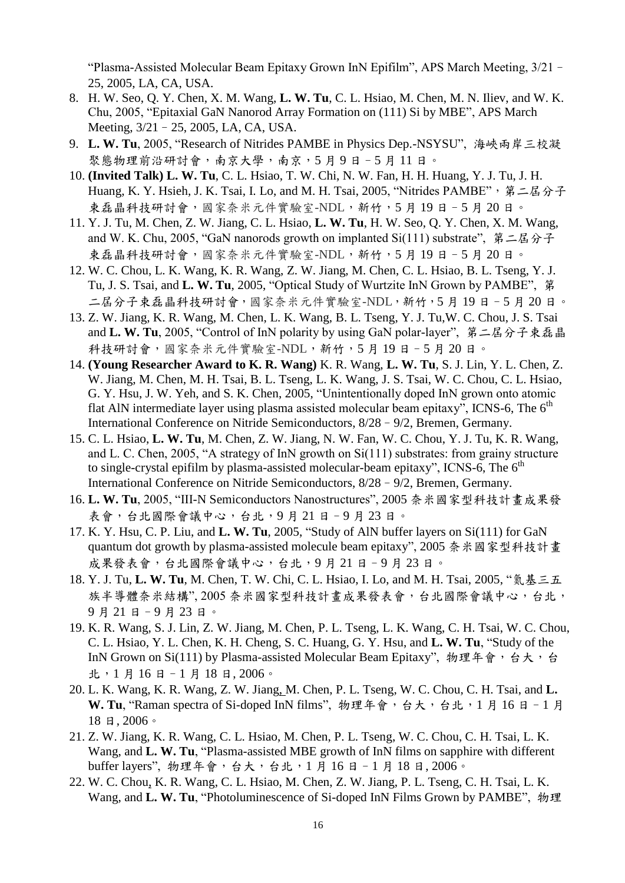"Plasma-Assisted Molecular Beam Epitaxy Grown InN Epifilm", APS March Meeting, 3/21– 25, 2005, LA, CA, USA.

- 8. H. W. Seo, Q. Y. Chen, X. M. Wang, **L. W. Tu**, C. L. Hsiao, M. Chen, M. N. Iliev, and W. K. Chu, 2005, "Epitaxial GaN Nanorod Array Formation on (111) Si by MBE", APS March Meeting, 3/21–25, 2005, LA, CA, USA.
- 9. **L. W. Tu**, 2005, "Research of Nitrides PAMBE in Physics Dep.-NSYSU", 海峽兩岸三校凝 聚態物理前沿研討會,南京大學,南京,5月9日-5月11日。
- 10. **(Invited Talk) L. W. Tu**, C. L. Hsiao, T. W. Chi, N. W. Fan, H. H. Huang, Y. J. Tu, J. H. Huang, K. Y. Hsieh, J. K. Tsai, I. Lo, and M. H. Tsai, 2005, "Nitrides PAMBE", 第二屆分子 束磊晶科技研討會,國家奈米元件實驗室-NDL,新竹,5月19日-5月20日。
- 11. Y. J. Tu, M. Chen, Z. W. Jiang, C. L. Hsiao, **L. W. Tu**, H. W. Seo, Q. Y. Chen, X. M. Wang, and W. K. Chu, 2005, "GaN nanorods growth on implanted Si(111) substrate", 第二屆分子 束磊晶科技研討會,國家奈米元件實驗室-NDL,新竹,5月19日-5月20日。
- 12. W. C. Chou, L. K. Wang, K. R. Wang, Z. W. Jiang, M. Chen, C. L. Hsiao, B. L. Tseng, Y. J. Tu, J. S. Tsai, and **L. W. Tu**, 2005, "Optical Study of Wurtzite InN Grown by PAMBE", 第 二屆分子束磊晶科技研討會,國家奈米元件實驗室-NDL,新竹,5 月 19 日–5 月 20 日。
- 13. Z. W. Jiang, K. R. Wang, M. Chen, L. K. Wang, B. L. Tseng, Y. J. Tu,W. C. Chou, J. S. Tsai and **L. W. Tu**, 2005, "Control of InN polarity by using GaN polar-layer", 第二屆分子束磊晶 科技研討會,國家奈米元件實驗室-NDL,新竹,5 月 19 日–5 月 20 日。
- 14. **(Young Researcher Award to K. R. Wang)** K. R. Wang, **L. W. Tu**, S. J. Lin, Y. L. Chen, Z. W. Jiang, M. Chen, M. H. Tsai, B. L. Tseng, L. K. Wang, J. S. Tsai, W. C. Chou, C. L. Hsiao, G. Y. Hsu, J. W. Yeh, and S. K. Chen, 2005, "Unintentionally doped InN grown onto atomic flat AlN intermediate layer using plasma assisted molecular beam epitaxy", ICNS-6, The  $6<sup>th</sup>$ International Conference on Nitride Semiconductors, 8/28–9/2, Bremen, Germany.
- 15. C. L. Hsiao, **L. W. Tu**, M. Chen, Z. W. Jiang, N. W. Fan, W. C. Chou, Y. J. Tu, K. R. Wang, and L. C. Chen, 2005, "A strategy of InN growth on Si(111) substrates: from grainy structure to single-crystal epifilm by plasma-assisted molecular-beam epitaxy", ICNS-6, The  $6<sup>th</sup>$ International Conference on Nitride Semiconductors, 8/28–9/2, Bremen, Germany.
- 16. **L. W. Tu**, 2005, "III-N Semiconductors Nanostructures", 2005 奈米國家型科技計畫成果發 表會,台北國際會議中心,台北,9月21日-9月23日。
- 17. K. Y. Hsu, C. P. Liu, and **L. W. Tu**, 2005, "Study of AlN buffer layers on Si(111) for GaN quantum dot growth by plasma-assisted molecule beam epitaxy", 2005 奈米國家型科技計畫 成果發表會,台北國際會議中心,台北,9月21日-9月23日。
- 18. Y. J. Tu, **L. W. Tu**, M. Chen, T. W. Chi, C. L. Hsiao, I. Lo, and M. H. Tsai, 2005, "氮基三五 族半導體奈米結構", 2005 奈米國家型科技計畫成果發表會,台北國際會議中心,台北, 9 月 21 日–9 月 23 日。
- 19. K. R. Wang, S. J. Lin, Z. W. Jiang, M. Chen, P. L. Tseng, L. K. Wang, C. H. Tsai, W. C. Chou, C. L. Hsiao, Y. L. Chen, K. H. Cheng, S. C. Huang, G. Y. Hsu, and **L. W. Tu**, "Study of the InN Grown on Si(111) by Plasma-assisted Molecular Beam Epitaxy", 物理年會, 台大, 台 北,1 月 16 日–1 月 18 日, 2006。
- 20. L. K. Wang, K. R. Wang, Z. W. Jiang, M. Chen, P. L. Tseng, W. C. Chou, C. H. Tsai, and **L.**  W. Tu, "Raman spectra of Si-doped InN films", 物理年會, 台大, 台北, 1月 16日-1月 18 日, 2006。
- 21. Z. W. Jiang, K. R. Wang, C. L. Hsiao, M. Chen, P. L. Tseng, W. C. Chou, C. H. Tsai, L. K. Wang, and **L. W. Tu**, "Plasma-assisted MBE growth of InN films on sapphire with different buffer layers", 物理年會,台大,台北,1月16日-1月18日,2006。
- 22. W. C. Chou, K. R. Wang, C. L. Hsiao, M. Chen, Z. W. Jiang, P. L. Tseng, C. H. Tsai, L. K. Wang, and **L. W. Tu**, "Photoluminescence of Si-doped InN Films Grown by PAMBE", 物理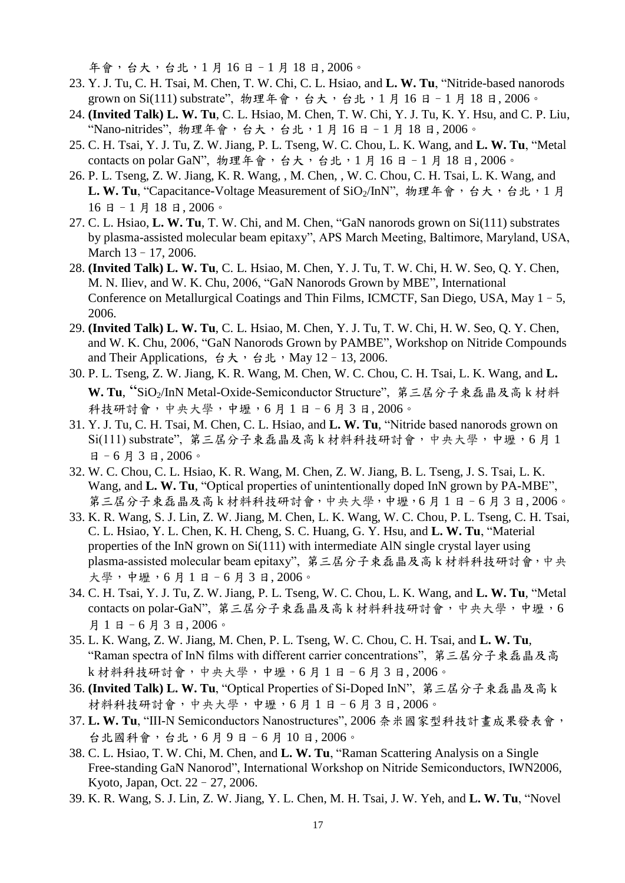年會,台大,台北,1 月 16 日–1 月 18 日, 2006。

- 23. Y. J. Tu, C. H. Tsai, M. Chen, T. W. Chi, C. L. Hsiao, and **L. W. Tu**, "Nitride-based nanorods grown on Si(111) substrate", 物理年會, 台大, 台北, 1月 16日-1月 18日, 2006。
- 24. **(Invited Talk) L. W. Tu**, C. L. Hsiao, M. Chen, T. W. Chi, Y. J. Tu, K. Y. Hsu, and C. P. Liu, "Nano-nitrides", 物理年會,台大,台北,1 月 16 日–1 月 18 日, 2006。
- 25. C. H. Tsai, Y. J. Tu, Z. W. Jiang, P. L. Tseng, W. C. Chou, L. K. Wang, and **L. W. Tu**, "Metal contacts on polar GaN", 物理年會,台大,台北,1月16日-1月18日,2006。
- 26. P. L. Tseng, Z. W. Jiang, K. R. Wang, , M. Chen, , W. C. Chou, C. H. Tsai, L. K. Wang, and L. W. Tu. "Capacitance-Voltage Measurement of SiO<sub>2</sub>/InN", 物理年會, 台大, 台北, 1 月 16 日–1 月 18 日, 2006。
- 27. C. L. Hsiao, **L. W. Tu**, T. W. Chi, and M. Chen, "GaN nanorods grown on Si(111) substrates by plasma-assisted molecular beam epitaxy", APS March Meeting, Baltimore, Maryland, USA, March 13–17, 2006.
- 28. **(Invited Talk) L. W. Tu**, C. L. Hsiao, M. Chen, Y. J. Tu, T. W. Chi, H. W. Seo, Q. Y. Chen, M. N. Iliev, and W. K. Chu, 2006, "GaN Nanorods Grown by MBE", International Conference on Metallurgical Coatings and Thin Films, ICMCTF, San Diego, USA, May 1–5, 2006.
- 29. **(Invited Talk) L. W. Tu**, C. L. Hsiao, M. Chen, Y. J. Tu, T. W. Chi, H. W. Seo, Q. Y. Chen, and W. K. Chu, 2006, "GaN Nanorods Grown by PAMBE", Workshop on Nitride Compounds and Their Applications, 台大,台北,May 12-13, 2006.
- 30. P. L. Tseng, Z. W. Jiang, K. R. Wang, M. Chen, W. C. Chou, C. H. Tsai, L. K. Wang, and **L. W. Tu**, "SiO2/InN Metal-Oxide-Semiconductor Structure", 第三屆分子束磊晶及高 k 材料 科技研討會,中央大學,中壢,6 月 1 日–6 月 3 日, 2006。
- 31. Y. J. Tu, C. H. Tsai, M. Chen, C. L. Hsiao, and **L. W. Tu**, "Nitride based nanorods grown on Si(111) substrate", 第三屆分子束磊晶及高 k 材料科技研討會,中央大學,中壢,6 月 1 日-6月3日, 2006。
- 32. W. C. Chou, C. L. Hsiao, K. R. Wang, M. Chen, Z. W. Jiang, B. L. Tseng, J. S. Tsai, L. K. Wang, and **L. W. Tu**, "Optical properties of unintentionally doped InN grown by PA-MBE", 第三屆分子束磊晶及高 k 材料科技研討會,中央大學,中壢,6月1日-6月3日,2006。
- 33. K. R. Wang, S. J. Lin, Z. W. Jiang, M. Chen, L. K. Wang, W. C. Chou, P. L. Tseng, C. H. Tsai, C. L. Hsiao, Y. L. Chen, K. H. Cheng, S. C. Huang, G. Y. Hsu, and **L. W. Tu**, "Material properties of the InN grown on Si(111) with intermediate AlN single crystal layer using plasma-assisted molecular beam epitaxy", 第三屆分子束磊晶及高 k 材料科技研討會, 中央 大學,中壢,6 月 1 日–6 月 3 日, 2006。
- 34. C. H. Tsai, Y. J. Tu, Z. W. Jiang, P. L. Tseng, W. C. Chou, L. K. Wang, and **L. W. Tu**, "Metal contacts on polar-GaN", 第三屆分子束磊晶及高 k 材料科技研討會,中央大學,中壢, 6 月 1 日–6 月 3 日, 2006。
- 35. L. K. Wang, Z. W. Jiang, M. Chen, P. L. Tseng, W. C. Chou, C. H. Tsai, and **L. W. Tu**, "Raman spectra of InN films with different carrier concentrations", 第三屆分子束磊晶及高 k 材料科技研討會,中央大學,中壢,6 月 1 日–6 月 3 日, 2006。
- 36. **(Invited Talk) L. W. Tu**, "Optical Properties of Si-Doped InN", 第三屆分子束磊晶及高 k 材料科技研討會,中央大學,中壢,6月1日-6月3日,2006。
- 37. **L. W. Tu**, "III-N Semiconductors Nanostructures", 2006 奈米國家型科技計畫成果發表會, 台北國科會,台北,6 月 9 日–6 月 10 日, 2006。
- 38. C. L. Hsiao, T. W. Chi, M. Chen, and **L. W. Tu**, "Raman Scattering Analysis on a Single Free-standing GaN Nanorod", International Workshop on Nitride Semiconductors, IWN2006, Kyoto, Japan, Oct. 22–27, 2006.
- 39. K. R. Wang, S. J. Lin, Z. W. Jiang, Y. L. Chen, M. H. Tsai, J. W. Yeh, and **L. W. Tu**, "Novel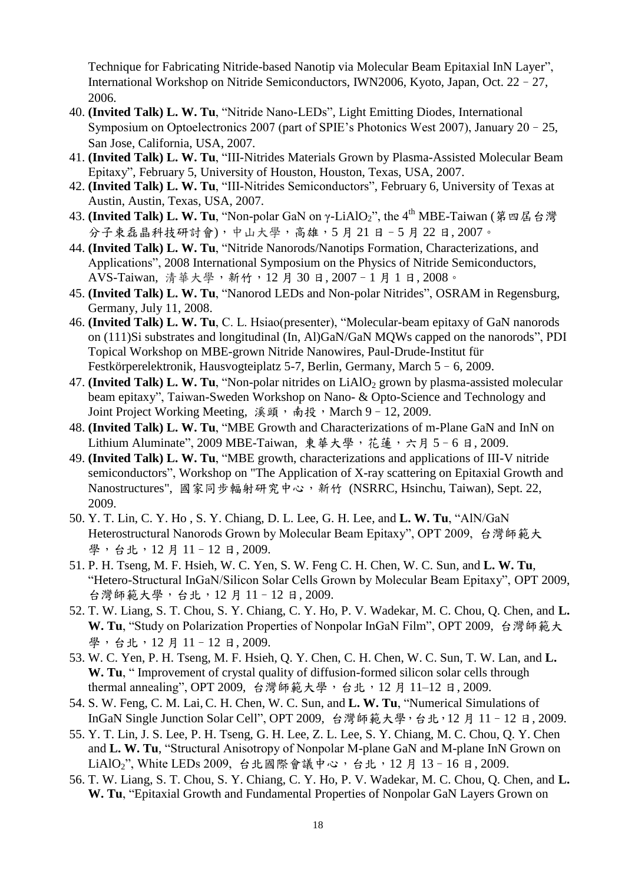Technique for Fabricating Nitride-based Nanotip via Molecular Beam Epitaxial InN Layer", International Workshop on Nitride Semiconductors, IWN2006, Kyoto, Japan, Oct. 22–27, 2006.

- 40. **(Invited Talk) L. W. Tu**, "Nitride Nano-LEDs", Light Emitting Diodes, International Symposium on Optoelectronics 2007 (part of SPIE's Photonics West 2007), January 20–25, San Jose, California, USA, 2007.
- 41. **(Invited Talk) L. W. Tu**, "III-Nitrides Materials Grown by Plasma-Assisted Molecular Beam Epitaxy", February 5, University of Houston, Houston, Texas, USA, 2007.
- 42. **(Invited Talk) L. W. Tu**, "III-Nitrides Semiconductors", February 6, University of Texas at Austin, Austin, Texas, USA, 2007.
- 43. (Invited Talk) L. W. Tu, "Non-polar GaN on γ-LiAlO<sub>2</sub>", the 4<sup>th</sup> MBE-Taiwan (第四屆台灣 分子束磊晶科技研討會),中山大學,高雄,5 月 21 日–5 月 22 日, 2007。
- 44. **(Invited Talk) L. W. Tu**, "Nitride Nanorods/Nanotips Formation, Characterizations, and Applications", 2008 International Symposium on the Physics of Nitride Semiconductors, AVS-Taiwan, 清華大學,新竹,12 月 30 日, 2007–1 月 1 日, 2008。
- 45. **(Invited Talk) L. W. Tu**, "Nanorod LEDs and Non-polar Nitrides", OSRAM in Regensburg, Germany, July 11, 2008.
- 46. **(Invited Talk) L. W. Tu**, C. L. Hsiao(presenter), "Molecular-beam epitaxy of GaN nanorods on (111)Si substrates and longitudinal (In, Al)GaN/GaN MQWs capped on the nanorods", PDI Topical Workshop on MBE-grown Nitride Nanowires, Paul-Drude-Institut für Festkörperelektronik, Hausvogteiplatz 5-7, Berlin, Germany, March 5–6, 2009.
- 47. **(Invited Talk) L. W. Tu**, "Non-polar nitrides on LiAlO<sub>2</sub> grown by plasma-assisted molecular beam epitaxy", Taiwan-Sweden Workshop on Nano- & Opto-Science and Technology and Joint Project Working Meeting, 溪頭,南投,March 9-12, 2009.
- 48. **(Invited Talk) L. W. Tu**, "MBE Growth and Characterizations of m-Plane GaN and InN on Lithium Aluminate", 2009 MBE-Taiwan, 東華大學, 花蓮, 六月 5-6日, 2009.
- 49. **(Invited Talk) L. W. Tu**, "MBE growth, characterizations and applications of III-V nitride semiconductors", Workshop on "The Application of X-ray scattering on Epitaxial Growth and Nanostructures", 國家同步輻射研究中心,新竹 (NSRRC, Hsinchu, Taiwan), Sept. 22, 2009.
- 50. Y. T. Lin, C. Y. Ho , S. Y. Chiang, D. L. Lee, G. H. Lee, and **L. W. Tu**, "AlN/GaN Heterostructural Nanorods Grown by Molecular Beam Epitaxy", OPT 2009, 台灣師範大 學,台北,12月11-12日,2009.
- 51. P. H. Tseng, M. F. Hsieh, W. C. Yen, S. W. Feng C. H. Chen, W. C. Sun*,* and **L. W. Tu**, "Hetero-Structural InGaN/Silicon Solar Cells Grown by Molecular Beam Epitaxy", OPT 2009, 台灣師範大學,台北,12 月 11–12 日, 2009.
- 52. T. W. Liang, S. T. Chou, S. Y. Chiang, C. Y. Ho, P. V. Wadekar, M. C. Chou, Q. Chen, and **L. W. Tu**, "Study on Polarization Properties of Nonpolar InGaN Film", OPT 2009, 台灣師範大 學,台北,12月11-12日,2009.
- 53. W. C. Yen, P. H. Tseng, M. F. Hsieh, Q. Y. Chen, C. H. Chen, W. C. Sun, T. W. Lan, and **L. W. Tu**, " Improvement of crystal quality of diffusion-formed silicon solar cells through thermal annealing", OPT 2009, 台灣師範大學, 台北, 12月 11-12 日, 2009.
- 54. S. W. Feng, C. M. Lai, C. H. Chen, W. C. Sun, and **L. W. Tu**, "Numerical Simulations of InGaN Single Junction Solar Cell", OPT 2009, 台灣師範大學, 台北, 12月11-12日, 2009.
- 55. Y. T. Lin, J. S. Lee, P. H. Tseng, G. H. Lee, Z. L. Lee, S. Y. Chiang, M. C. Chou, Q. Y. Chen and **L. W. Tu**, "Structural Anisotropy of Nonpolar M-plane GaN and M-plane InN Grown on LiAlO<sub>2</sub>", White LEDs 2009, 台北國際會議中心, 台北, 12 月 13-16 日, 2009.
- 56. T. W. Liang, S. T. Chou, S. Y. Chiang, C. Y. Ho, P. V. Wadekar, M. C. Chou, Q. Chen, and **L. W. Tu**, "Epitaxial Growth and Fundamental Properties of Nonpolar GaN Layers Grown on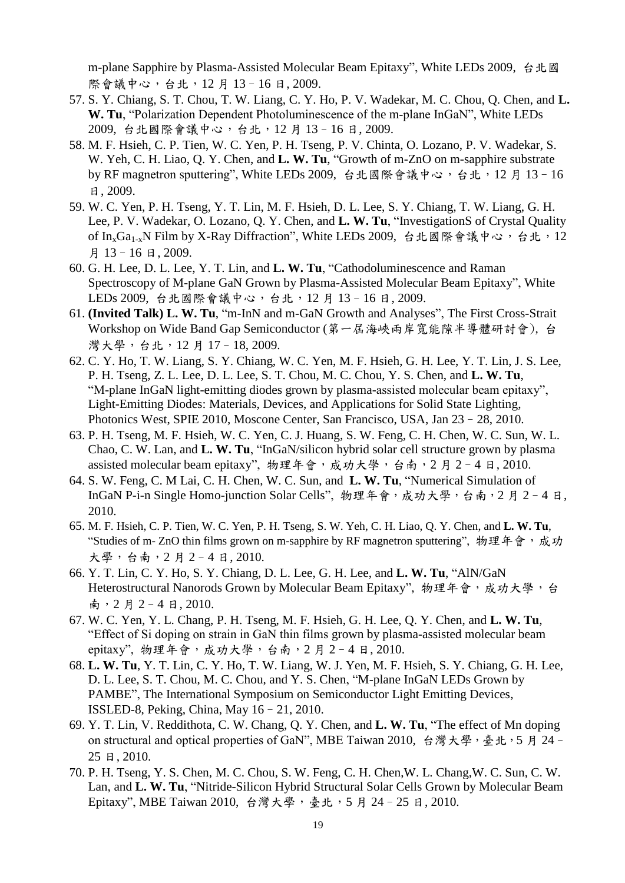m-plane Sapphire by Plasma-Assisted Molecular Beam Epitaxy", White LEDs 2009, 台北國 際會議中心,台北,12月13-16日,2009.

- 57. S. Y. Chiang, S. T. Chou, T. W. Liang, C. Y. Ho, P. V. Wadekar, M. C. Chou, Q. Chen, and **L. W. Tu**, "Polarization Dependent Photoluminescence of the m-plane InGaN", White LEDs 2009, 台北國際會議中心,台北,12 月 13–16 日, 2009.
- 58. M. F. Hsieh, C. P. Tien, W. C. Yen, P. H. Tseng, P. V. Chinta, O. Lozano, P. V. Wadekar, S. W. Yeh, C. H. Liao, Q. Y. Chen, and **L. W. Tu**, "Growth of m-ZnO on m-sapphire substrate by RF magnetron sputtering", White LEDs 2009, 台北國際會議中心,台北,12月13-16 日, 2009.
- 59. W. C. Yen, P. H. Tseng, Y. T. Lin, M. F. Hsieh, D. L. Lee, S. Y. Chiang, T. W. Liang, G. H. Lee, P. V. Wadekar, O. Lozano, Q. Y. Chen, and **L. W. Tu**, "InvestigationS of Crystal Quality of In<sub>x</sub>Ga<sub>1-x</sub>N Film by X-Ray Diffraction", White LEDs 2009, 台北國際會議中心, 台北, 12 月 13–16 日, 2009.
- 60. G. H. Lee, D. L. Lee, Y. T. Lin, and **L. W. Tu**, "Cathodoluminescence and Raman Spectroscopy of M-plane GaN Grown by Plasma-Assisted Molecular Beam Epitaxy", White LEDs 2009, 台北國際會議中心,台北, 12月 13-16日, 2009.
- 61. **(Invited Talk) L. W. Tu**, "m-InN and m-GaN Growth and Analyses", The First Cross-Strait Workshop on Wide Band Gap Semiconductor (第一屆海峽兩岸寬能隙半導體研討會), 台 灣大學,台北,12月17-18,2009.
- 62. C. Y. Ho, T. W. Liang, S. Y. Chiang, W. C. Yen, M. F. Hsieh, G. H. Lee, Y. T. Lin, J. S. Lee, P. H. Tseng, Z. L. Lee, D. L. Lee, S. T. Chou, M. C. Chou, Y. S. Chen, and **L. W. Tu**, "M-plane InGaN light-emitting diodes grown by plasma-assisted molecular beam epitaxy", Light-Emitting Diodes: Materials, Devices, and Applications for Solid State Lighting, Photonics West, SPIE 2010, Moscone Center, San Francisco, USA, Jan 23–28, 2010.
- 63. P. H. Tseng, M. F. Hsieh, W. C. Yen, C. J. Huang, S. W. Feng, C. H. Chen, W. C. Sun, W. L. Chao, C. W. Lan, and **L. W. Tu**, "InGaN/silicon hybrid solar cell structure grown by plasma assisted molecular beam epitaxy", 物理年會,成功大學,台南,2月2-4日,2010.
- 64. S. W. Feng, C. M Lai, C. H. Chen, W. C. Sun, and **L. W. Tu**, "Numerical Simulation of InGaN P-i-n Single Homo-junction Solar Cells", 物理年會, 成功大學, 台南, 2月2-4日, 2010.
- 65. M. F. Hsieh, C. P. Tien, W. C. Yen, P. H. Tseng, S. W. Yeh, C. H. Liao, Q. Y. Chen, and **L. W. Tu**, "Studies of m- ZnO thin films grown on m-sapphire by RF magnetron sputtering", 物理年會,成功 大學,台南,2 月 2–4 日, 2010.
- 66. Y. T. Lin, C. Y. Ho, S. Y. Chiang, D. L. Lee, G. H. Lee, and **L. W. Tu**, "AlN/GaN Heterostructural Nanorods Grown by Molecular Beam Epitaxy", 物理年會, 成功大學, 台 南, 2月 2-4日, 2010.
- 67. W. C. Yen, Y. L. Chang, P. H. Tseng, M. F. Hsieh, G. H. Lee, Q. Y. Chen, and **L. W. Tu**, "Effect of Si doping on strain in GaN thin films grown by plasma-assisted molecular beam epitaxy", 物理年會,成功大學,台南,2 月 2–4 日, 2010.
- 68. **L. W. Tu**, Y. T. Lin, C. Y. Ho, T. W. Liang, W. J. Yen, M. F. Hsieh, S. Y. Chiang, G. H. Lee, D. L. Lee, S. T. Chou, M. C. Chou, and Y. S. Chen, "M-plane InGaN LEDs Grown by PAMBE", The International Symposium on Semiconductor Light Emitting Devices, ISSLED-8, Peking, China, May 16–21, 2010.
- 69. Y. T. Lin, V. Reddithota, C. W. Chang, Q. Y. Chen, and **L. W. Tu**, "The effect of Mn doping on structural and optical properties of GaN", MBE Taiwan 2010, 台灣大學,臺北,5月24-25 日, 2010.
- 70. P. H. Tseng, Y. S. Chen, M. C. Chou, S. W. Feng, C. H. Chen,W. L. Chang,W. C. Sun, C. W. Lan, and **L. W. Tu**, "Nitride-Silicon Hybrid Structural Solar Cells Grown by Molecular Beam Epitaxy", MBE Taiwan 2010, 台灣大學,臺北,5月24-25日, 2010.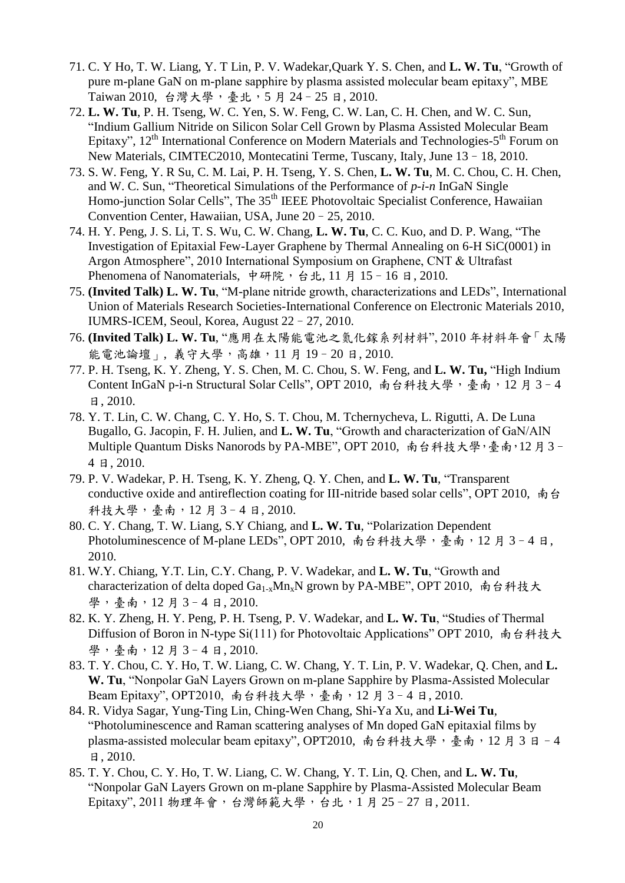- 71. C. Y Ho, T. W. Liang, Y. T Lin, P. V. Wadekar,Quark Y. S. Chen, and **L. W. Tu**, "Growth of pure m-plane GaN on m-plane sapphire by plasma assisted molecular beam epitaxy", MBE Taiwan 2010, 台灣大學,臺北,5月24-25日, 2010.
- 72. **L. W. Tu**, P. H. Tseng, W. C. Yen, S. W. Feng, C. W. Lan, C. H. Chen, and W. C. Sun, "Indium Gallium Nitride on Silicon Solar Cell Grown by Plasma Assisted Molecular Beam Epitaxy", 12<sup>th</sup> International Conference on Modern Materials and Technologies-5<sup>th</sup> Forum on New Materials, CIMTEC2010, Montecatini Terme, Tuscany, Italy, June 13–18, 2010.
- 73. S. W. Feng, Y. R Su, C. M. Lai, P. H. Tseng, Y. S. Chen, **L. W. Tu**, M. C. Chou, C. H. Chen, and W. C. Sun, "Theoretical Simulations of the Performance of *p-i-n* InGaN Single Homo-junction Solar Cells", The 35<sup>th</sup> IEEE Photovoltaic Specialist Conference, Hawaiian Convention Center, Hawaiian, USA, June 20–25, 2010.
- 74. H. Y. Peng, J. S. Li, T. S. Wu, C. W. Chang, **L. W. Tu**, C. C. Kuo, and D. P. Wang, "The Investigation of Epitaxial Few-Layer Graphene by Thermal Annealing on 6-H SiC(0001) in Argon Atmosphere", 2010 International Symposium on Graphene, CNT & Ultrafast Phenomena of Nanomaterials, 中研院, 台北, 11 月 15-16 日, 2010.
- 75. **(Invited Talk) L. W. Tu**, "M-plane nitride growth, characterizations and LEDs", International Union of Materials Research Societies-International Conference on Electronic Materials 2010, IUMRS-ICEM, Seoul, Korea, August 22–27, 2010.
- 76. **(Invited Talk) L. W. Tu**, "應用在太陽能電池之氮化鎵系列材料", 2010 年材料年會「太陽 能電池論壇」,義守大學,高雄,11月19-20日,2010.
- 77. P. H. Tseng, K. Y. Zheng, Y. S. Chen, M. C. Chou, S. W. Feng, and **L. W. Tu,** "High Indium Content InGaN p-i-n Structural Solar Cells", OPT 2010, 南台科技大學,臺南,12月3-4 日, 2010.
- 78. Y. T. Lin, C. W. Chang, C. Y. Ho, S. T. Chou, M. Tchernycheva, L. Rigutti, A. De Luna Bugallo, G. Jacopin, F. H. Julien, and **L. W. Tu**, "Growth and characterization of GaN/AlN Multiple Quantum Disks Nanorods by PA-MBE", OPT 2010, 南台科技大學,臺南, 12月3-4 日, 2010.
- 79. P. V. Wadekar, P. H. Tseng, K. Y. Zheng, Q. Y. Chen, and **L. W. Tu**, "Transparent conductive oxide and antireflection coating for III-nitride based solar cells", OPT 2010, 南台 科技大學,臺南,12 月 3–4 日, 2010.
- 80. C. Y. Chang, T. W. Liang, S.Y Chiang, and **L. W. Tu**, "Polarization Dependent Photoluminescence of M-plane LEDs", OPT 2010, 南台科技大學,臺南, 12月3-4日, 2010.
- 81. W.Y. Chiang, Y.T. Lin, C.Y. Chang, P. V. Wadekar, and **L. W. Tu**, "Growth and characterization of delta doped  $Ga_{1-x}Mn_xN$  grown by PA-MBE", OPT 2010, 南台科技大 學,臺南,12月3-4日,2010.
- 82. K. Y. Zheng, H. Y. Peng, P. H. Tseng, P. V. Wadekar, and **L. W. Tu**, "Studies of Thermal Diffusion of Boron in N-type Si(111) for Photovoltaic Applications" OPT 2010, 南台科技大 學,臺南,12月3-4日,2010.
- 83. T. Y. Chou, C. Y. Ho, T. W. Liang, C. W. Chang, Y. T. Lin, P. V. Wadekar, Q. Chen, and **L. W. Tu**, "Nonpolar GaN Layers Grown on m-plane Sapphire by Plasma-Assisted Molecular Beam Epitaxy", OPT2010, 南台科技大學,臺南, 12月3-4日, 2010.
- 84. R. Vidya Sagar, Yung-Ting Lin, Ching-Wen Chang, Shi-Ya Xu, and **Li-Wei Tu**, "Photoluminescence and Raman scattering analyses of Mn doped GaN epitaxial films by plasma-assisted molecular beam epitaxy", OPT2010, 南台科技大學,臺南,12月3日-4 日, 2010.
- 85. T. Y. Chou, C. Y. Ho, T. W. Liang, C. W. Chang, Y. T. Lin, Q. Chen, and **L. W. Tu**, "Nonpolar GaN Layers Grown on m-plane Sapphire by Plasma-Assisted Molecular Beam Epitaxy", 2011 物理年會,台灣師範大學,台北, 1月 25-27 日, 2011.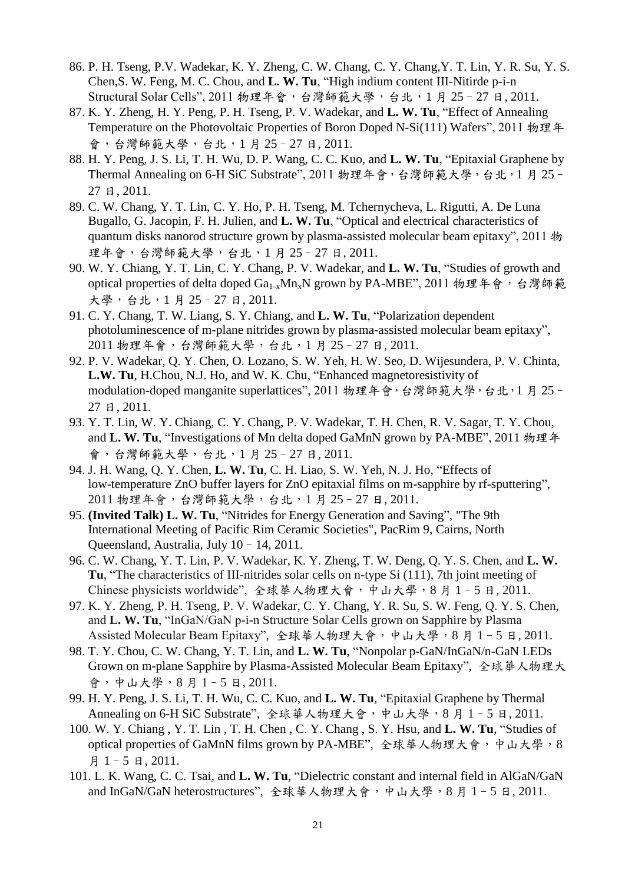- 86. P. H. Tseng, P.V. Wadekar, K. Y. Zheng, C. W. Chang, C. Y. Chang,Y. T. Lin, Y. R. Su, Y. S. Chen,S. W. Feng, M. C. Chou, and **L. W. Tu**, "High indium content III-Nitirde p-i-n Structural Solar Cells", 2011 物理年會, 台灣師範大學, 台北, 1月 25-27 日, 2011.
- 87. K. Y. Zheng, H. Y. Peng, P. H. Tseng, P. V. Wadekar, and **L. W. Tu**, "Effect of Annealing Temperature on the Photovoltaic Properties of Boron Doped N-Si(111) Wafers", 2011 物理年 會,台灣師範大學,台北,1 月 25–27 日, 2011.
- 88. H. Y. Peng, J. S. Li, T. H. Wu, D. P. Wang, C. C. Kuo, and **L. W. Tu**, "Epitaxial Graphene by Thermal Annealing on 6-H SiC Substrate", 2011 物理年會, 台灣師範大學, 台北, 1月25 -27 日, 2011.
- 89. C. W. Chang, Y. T. Lin, C. Y. Ho, P. H. Tseng, M. Tchernycheva, L. Rigutti, A. De Luna Bugallo, G. Jacopin, F. H. Julien, and **L. W. Tu**, "Optical and electrical characteristics of quantum disks nanorod structure grown by plasma-assisted molecular beam epitaxy", 2011 物 理年會,台灣師範大學,台北,1月25-27日,2011.
- 90. W. Y. Chiang, Y. T. Lin, C. Y. Chang, P. V. Wadekar, and **L. W. Tu**, "Studies of growth and optical properties of delta doped Ga<sub>1-x</sub>Mn<sub>x</sub>N grown by PA-MBE", 2011 物理年會, 台灣師範 大學,台北,1 月 25–27 日, 2011.
- 91. C. Y. Chang, T. W. Liang, S. Y. Chiang, and **L. W. Tu**, "Polarization dependent photoluminescence of m-plane nitrides grown by plasma-assisted molecular beam epitaxy", 2011 物理年會,台灣師範大學,台北,1 月 25–27 日, 2011.
- 92. P. V. Wadekar, Q. Y. Chen, O. Lozano, S. W. Yeh, H. W. Seo, D. Wijesundera, P. V. Chinta, **L.W. Tu**, H.Chou, N.J. Ho, and W. K. Chu, "Enhanced magnetoresistivity of modulation-doped manganite superlattices", 2011 物理年會,台灣師範大學,台北,1月25-27 日, 2011.
- 93. Y. T. Lin, W. Y. Chiang, C. Y. Chang, P. V. Wadekar, T. H. Chen, R. V. Sagar, T. Y. Chou, and **L. W. Tu**, "Investigations of Mn delta doped GaMnN grown by PA-MBE", 2011 物理年 會,台灣師範大學,台北,1 月 25–27 日, 2011.
- 94. J. H. Wang, Q. Y. Chen, **L. W. Tu**, C. H. Liao, S. W. Yeh, N. J. Ho, "Effects of low-temperature ZnO buffer layers for ZnO epitaxial films on m-sapphire by rf-sputtering", 2011 物理年會,台灣師範大學,台北,1 月 25–27 日, 2011.
- 95. **(Invited Talk) L. W. Tu**, "Nitrides for Energy Generation and Saving", "The 9th International Meeting of Pacific Rim Ceramic Societies", PacRim 9, Cairns, North Queensland, Australia, July 10–14, 2011.
- 96. C. W. Chang, Y. T. Lin, P. V. Wadekar, K. Y. Zheng, T. W. Deng, Q. Y. S. Chen, and **L. W. Tu**, "The characteristics of III-nitrides solar cells on n-type Si (111), 7th joint meeting of Chinese physicists worldwide", 全球華人物理大會,中山大學,8月1-5日,2011.
- 97. K. Y. Zheng, P. H. Tseng, P. V. Wadekar, C. Y. Chang, Y. R. Su, S. W. Feng, Q. Y. S. Chen, and **L. W. Tu**, "InGaN/GaN p-i-n Structure Solar Cells grown on Sapphire by Plasma Assisted Molecular Beam Epitaxy", 全球華人物理大會,中山大學,8月1-5日,2011.
- 98. T. Y. Chou, C. W. Chang, Y. T. Lin, and **L. W. Tu**, "Nonpolar p-GaN/InGaN/n-GaN LEDs Grown on m-plane Sapphire by Plasma-Assisted Molecular Beam Epitaxy", 全球華人物理大 會,中山大學,8 月 1–5 日, 2011.
- 99. H. Y. Peng, J. S. Li, T. H. Wu, C. C. Kuo, and **L. W. Tu**, "Epitaxial Graphene by Thermal Annealing on 6-H SiC Substrate", 全球華人物理大會,中山大學,8月1-5日,2011.
- 100. W. Y. Chiang , Y. T. Lin , T. H. Chen , C. Y. Chang , S. Y. Hsu, and **L. W. Tu**, "Studies of optical properties of GaMnN films grown by PA-MBE", 全球華人物理大會,中山大學,8 月 1–5 日, 2011.
- 101. L. K. Wang, C. C. Tsai, and **L. W. Tu**, "Dielectric constant and internal field in AlGaN/GaN and InGaN/GaN heterostructures", 全球華人物理大會,中山大學,8月1-5日,2011.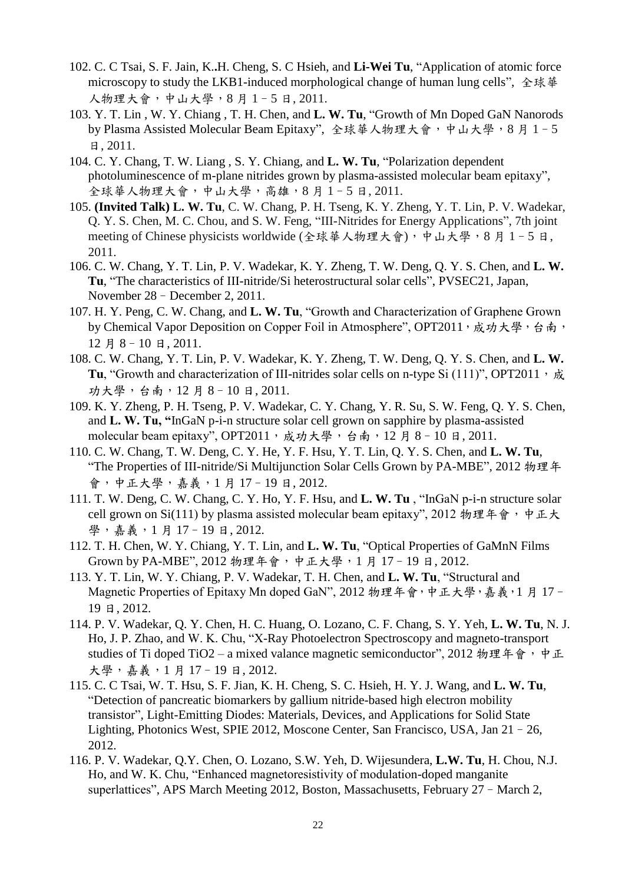- 102. C. C Tsai, S. F. Jain, K.**.**H. Cheng, S. C Hsieh, and **Li-Wei Tu**, "Application of atomic force microscopy to study the LKB1-induced morphological change of human lung cells", 全球華 人物理大會,中山大學,8 月 1–5 日, 2011.
- 103. Y. T. Lin , W. Y. Chiang , T. H. Chen, and **L. W. Tu**, "Growth of Mn Doped GaN Nanorods by Plasma Assisted Molecular Beam Epitaxy", 全球華人物理大會,中山大學,8月1-5 日, 2011.
- 104. C. Y. Chang, T. W. Liang , S. Y. Chiang, and **L. W. Tu**, "Polarization dependent photoluminescence of m-plane nitrides grown by plasma-assisted molecular beam epitaxy", 全球華人物理大會,中山大學,高雄,8月1-5日,2011.
- 105. **(Invited Talk) L. W. Tu**, C. W. Chang, P. H. Tseng, K. Y. Zheng, Y. T. Lin, P. V. Wadekar, Q. Y. S. Chen, M. C. Chou, and S. W. Feng, "III-Nitrides for Energy Applications", 7th joint meeting of Chinese physicists worldwide (全球華人物理大會), 中山大學, 8 月 1-5 日, 2011.
- 106. C. W. Chang, Y. T. Lin, P. V. Wadekar, K. Y. Zheng, T. W. Deng, Q. Y. S. Chen, and **L. W. Tu**, "The characteristics of III-nitride/Si heterostructural solar cells", PVSEC21, Japan, November 28–December 2, 2011.
- 107. H. Y. Peng, C. W. Chang, and **L. W. Tu**, "Growth and Characterization of Graphene Grown by Chemical Vapor Deposition on Copper Foil in Atmosphere", OPT2011,成功大學,台南, 12 月 8–10 日, 2011.
- 108. C. W. Chang, Y. T. Lin, P. V. Wadekar, K. Y. Zheng, T. W. Deng, Q. Y. S. Chen, and **L. W. Tu**, "Growth and characterization of III-nitrides solar cells on n-type Si (111)", OPT2011, 成 功大學,台南,12 月 8–10 日, 2011.
- 109. K. Y. Zheng, P. H. Tseng, P. V. Wadekar, C. Y. Chang, Y. R. Su, S. W. Feng, Q. Y. S. Chen, and **L. W. Tu, "**InGaN p-i-n structure solar cell grown on sapphire by plasma-assisted molecular beam epitaxy", OPT2011, 成功大學, 台南, 12月8-10日, 2011.
- 110. C. W. Chang, T. W. Deng, C. Y. He, Y. F. Hsu, Y. T. Lin, Q. Y. S. Chen, and **L. W. Tu**, "The Properties of III-nitride/Si Multijunction Solar Cells Grown by PA-MBE", 2012 物理年 會,中正大學,嘉義,1 月 17–19 日, 2012.
- 111. T. W. Deng, C. W. Chang, C. Y. Ho, Y. F. Hsu, and **L. W. Tu** , "InGaN p-i-n structure solar cell grown on Si(111) by plasma assisted molecular beam epitaxy", 2012 物理年會,中正大 學, 嘉義, 1月17-19日, 2012.
- 112. T. H. Chen, W. Y. Chiang, Y. T. Lin, and **L. W. Tu**, "Optical Properties of GaMnN Films Grown by PA-MBE", 2012 物理年會,中正大學, 1月17-19日, 2012.
- 113. Y. T. Lin, W. Y. Chiang, P. V. Wadekar, T. H. Chen, and **L. W. Tu**, "Structural and Magnetic Properties of Epitaxy Mn doped GaN", 2012 物理年會,中正大學, 嘉義, 1月17-19 日, 2012.
- 114. P. V. Wadekar, Q. Y. Chen, H. C. Huang, O. Lozano, C. F. Chang, S. Y. Yeh, **L. W. Tu**, N. J. Ho, J. P. Zhao, and W. K. Chu, "X-Ray Photoelectron Spectroscopy and magneto-transport studies of Ti doped TiO2 – a mixed valance magnetic semiconductor", 2012 物理年會,中正 大學,嘉義,1 月 17–19 日, 2012.
- 115. C. C Tsai, W. T. Hsu, S. F. Jian, K. H. Cheng, S. C. Hsieh, H. Y. J. Wang, and **L. W. Tu**, "Detection of pancreatic biomarkers by gallium nitride-based high electron mobility transistor", Light-Emitting Diodes: Materials, Devices, and Applications for Solid State Lighting, Photonics West, SPIE 2012, Moscone Center, San Francisco, USA, Jan 21–26, 2012.
- 116. P. V. Wadekar, Q.Y. Chen, O. Lozano, S.W. Yeh, D. Wijesundera, **L.W. Tu**, H. Chou, N.J. Ho, and W. K. Chu, "Enhanced magnetoresistivity of modulation-doped manganite superlattices", APS March Meeting 2012, Boston, Massachusetts, February 27–March 2,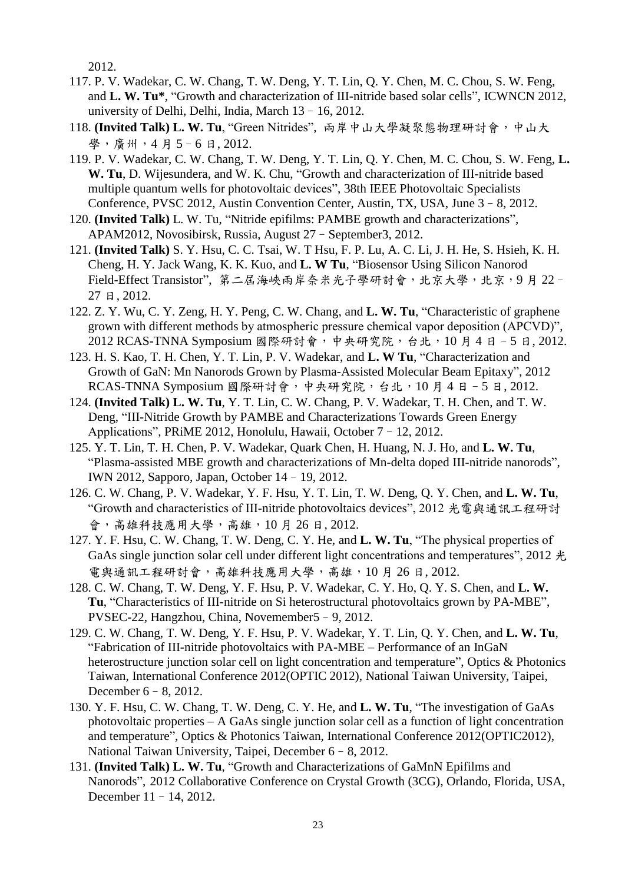2012.

- 117. P. V. Wadekar, C. W. Chang, T. W. Deng, Y. T. Lin, Q. Y. Chen, M. C. Chou, S. W. Feng, and **L. W. Tu\***, "Growth and characterization of III-nitride based solar cells", ICWNCN 2012, university of Delhi, Delhi, India, March 13–16, 2012.
- 118. **(Invited Talk) L. W. Tu**, "Green Nitrides", 兩岸中山大學凝聚態物理研討會,中山大 學, 廣州, 4月5-6日, 2012.
- 119. P. V. Wadekar, C. W. Chang, T. W. Deng, Y. T. Lin, Q. Y. Chen, M. C. Chou, S. W. Feng, **L. W. Tu**, D. Wijesundera, and W. K. Chu, "Growth and characterization of III-nitride based multiple quantum wells for photovoltaic devices", 38th IEEE Photovoltaic Specialists Conference, PVSC 2012, Austin Convention Center, Austin, TX, USA, June 3–8, 2012.
- 120. **(Invited Talk)** L. W. Tu, "Nitride epifilms: PAMBE growth and characterizations", APAM2012, Novosibirsk, Russia, August 27–September3, 2012.
- 121. **(Invited Talk)** S. Y. Hsu, C. C. Tsai, W. T Hsu, F. P. Lu, A. C. Li, J. H. He, S. Hsieh, K. H. Cheng, H. Y. Jack Wang, K. K. Kuo, and **L. W Tu**, "Biosensor Using Silicon Nanorod Field-Effect Transistor", 第二屆海峽兩岸奈米光子學研討會, 北京大學, 北京, 9月22-27 日, 2012.
- 122. Z. Y. Wu, C. Y. Zeng, H. Y. Peng, C. W. Chang, and **L. W. Tu**, "Characteristic of graphene grown with different methods by atmospheric pressure chemical vapor deposition (APCVD)", 2012 RCAS-TNNA Symposium 國際研討會,中央研究院,台北,10月4日-5日,2012.
- 123. H. S. Kao, T. H. Chen, Y. T. Lin, P. V. Wadekar, and **L. W Tu**, "Characterization and Growth of GaN: Mn Nanorods Grown by Plasma-Assisted Molecular Beam Epitaxy", 2012 RCAS-TNNA Symposium 國際研討會,中央研究院,台北,10月4日-5日,2012.
- 124. **(Invited Talk) L. W. Tu**, Y. T. Lin, C. W. Chang, P. V. Wadekar, T. H. Chen, and T. W. Deng, "III-Nitride Growth by PAMBE and Characterizations Towards Green Energy Applications", PRiME 2012, Honolulu, Hawaii, October 7–12, 2012.
- 125. Y. T. Lin, T. H. Chen, P. V. Wadekar, Quark Chen, H. Huang, N. J. Ho, and **L. W. Tu**, "Plasma-assisted MBE growth and characterizations of Mn-delta doped III-nitride nanorods", IWN 2012, Sapporo, Japan, October 14–19, 2012.
- 126. C. W. Chang, P. V. Wadekar, Y. F. Hsu, Y. T. Lin, T. W. Deng, Q. Y. Chen, and **L. W. Tu**, "Growth and characteristics of III-nitride photovoltaics devices", 2012 光電與通訊工程研討 會,高雄科技應用大學,高雄,10 月 26 日, 2012.
- 127. Y. F. Hsu, C. W. Chang, T. W. Deng, C. Y. He, and **L. W. Tu**, "The physical properties of GaAs single junction solar cell under different light concentrations and temperatures", 2012 光 電與通訊工程研討會,高雄科技應用大學,高雄,10月26日,2012.
- 128. C. W. Chang, T. W. Deng, Y. F. Hsu, P. V. Wadekar, C. Y. Ho, Q. Y. S. Chen, and **L. W. Tu**, "Characteristics of III-nitride on Si heterostructural photovoltaics grown by PA-MBE", PVSEC-22, Hangzhou, China, Novemember5–9, 2012.
- 129. C. W. Chang, T. W. Deng, Y. F. Hsu, P. V. Wadekar, Y. T. Lin, Q. Y. Chen, and **L. W. Tu**, "Fabrication of III-nitride photovoltaics with PA-MBE – Performance of an InGaN heterostructure junction solar cell on light concentration and temperature", Optics & Photonics Taiwan, International Conference 2012(OPTIC 2012), National Taiwan University, Taipei, December 6–8, 2012.
- 130. Y. F. Hsu, C. W. Chang, T. W. Deng, C. Y. He, and **L. W. Tu**, "The investigation of GaAs photovoltaic properties – A GaAs single junction solar cell as a function of light concentration and temperature", Optics & Photonics Taiwan, International Conference 2012(OPTIC2012), National Taiwan University, Taipei, December 6–8, 2012.
- 131. **(Invited Talk) L. W. Tu**, "Growth and Characterizations of GaMnN Epifilms and Nanorods", 2012 Collaborative Conference on Crystal Growth (3CG), Orlando, Florida, USA, December 11–14, 2012.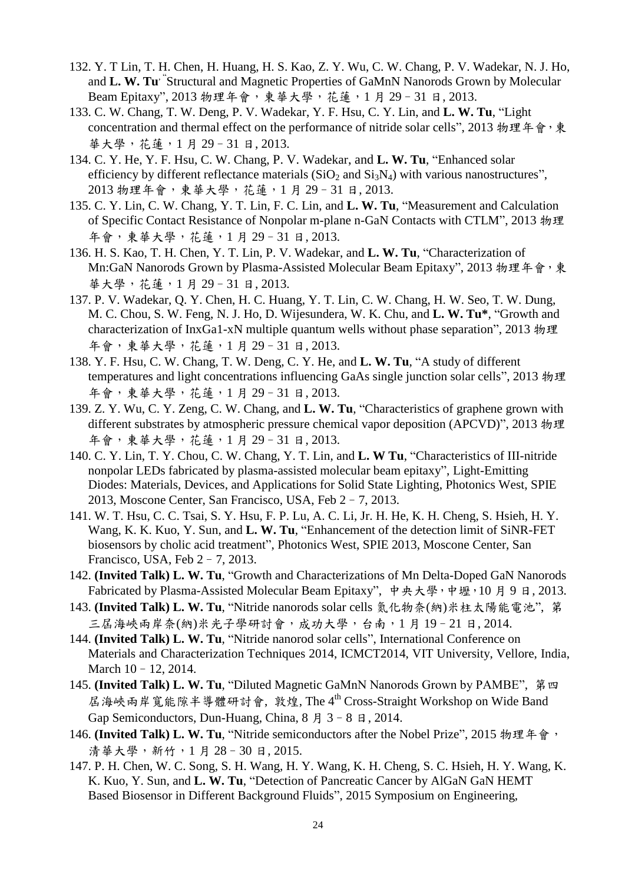- 132. Y. T Lin, T. H. Chen, H. Huang, H. S. Kao, Z. Y. Wu, C. W. Chang, P. V. Wadekar, N. J. Ho, and L. W. Tu<sup>\*</sup>Structural and Magnetic Properties of GaMnN Nanorods Grown by Molecular Beam Epitaxy", 2013 物理年會,東華大學,花蓮,1月29-31日, 2013.
- 133. C. W. Chang, T. W. Deng, P. V. Wadekar, Y. F. Hsu, C. Y. Lin, and **L. W. Tu**, "Light concentration and thermal effect on the performance of nitride solar cells", 2013 物理年會,東 華大學,花蓮,1 月 29–31 日, 2013.
- 134. C. Y. He, Y. F. Hsu, C. W. Chang, P. V. Wadekar, and **L. W. Tu**, "Enhanced solar efficiency by different reflectance materials  $(SiO<sub>2</sub>$  and  $Si<sub>3</sub>N<sub>4</sub>)$  with various nanostructures", 2013 物理年會,東華大學,花蓮,1 月 29–31 日, 2013.
- 135. C. Y. Lin, C. W. Chang, Y. T. Lin, F. C. Lin, and **L. W. Tu**, "Measurement and Calculation of Specific Contact Resistance of Nonpolar m-plane n-GaN Contacts with CTLM", 2013 物理 年會,東華大學,花蓮,1 月 29–31 日, 2013.
- 136. H. S. Kao, T. H. Chen, Y. T. Lin, P. V. Wadekar, and **L. W. Tu**, "Characterization of Mn:GaN Nanorods Grown by Plasma-Assisted Molecular Beam Epitaxy", 2013 物理年會, 東 華大學,花蓮,1 月 29–31 日, 2013.
- 137. P. V. Wadekar, Q. Y. Chen, H. C. Huang, Y. T. Lin, C. W. Chang, H. W. Seo, T. W. Dung, M. C. Chou, S. W. Feng, N. J. Ho, D. Wijesundera, W. K. Chu, and **L. W. Tu\***, "Growth and characterization of InxGa1-xN multiple quantum wells without phase separation", 2013 物理 年會,東華大學,花蓮,1 月 29–31 日, 2013.
- 138. Y. F. Hsu, C. W. Chang, T. W. Deng, C. Y. He, and **L. W. Tu**, "A study of different temperatures and light concentrations influencing GaAs single junction solar cells", 2013 物理 年會,東華大學,花蓮,1 月 29–31 日, 2013.
- 139. Z. Y. Wu, C. Y. Zeng, C. W. Chang, and **L. W. Tu**, "Characteristics of graphene grown with different substrates by atmospheric pressure chemical vapor deposition (APCVD)", 2013 物理 年會,東華大學,花蓮,1 月 29–31 日, 2013.
- 140. C. Y. Lin, T. Y. Chou, C. W. Chang, Y. T. Lin, and **L. W Tu**, "Characteristics of III-nitride nonpolar LEDs fabricated by plasma-assisted molecular beam epitaxy", Light-Emitting Diodes: Materials, Devices, and Applications for Solid State Lighting, Photonics West, SPIE 2013, Moscone Center, San Francisco, USA, Feb 2–7, 2013.
- 141. W. T. Hsu, C. C. Tsai, S. Y. Hsu, F. P. Lu, A. C. Li, Jr. H. He, K. H. Cheng, S. Hsieh, H. Y. Wang, K. K. Kuo, Y. Sun, and **L. W. Tu**, "Enhancement of the detection limit of SiNR-FET biosensors by cholic acid treatment", Photonics West, SPIE 2013, Moscone Center, San Francisco, USA, Feb 2–7, 2013.
- 142. **(Invited Talk) L. W. Tu**, "Growth and Characterizations of Mn Delta-Doped GaN Nanorods Fabricated by Plasma-Assisted Molecular Beam Epitaxy", 中央大學,中壢, 10月9日, 2013.
- 143. **(Invited Talk) L. W. Tu**, "Nitride nanorods solar cells 氮化物奈(納)米柱太陽能電池", 第 三屆海峽兩岸奈(納)米光子學研討會,成功大學,台南,1 月 19–21 日, 2014.
- 144. **(Invited Talk) L. W. Tu**, "Nitride nanorod solar cells", International Conference on Materials and Characterization Techniques 2014, ICMCT2014, VIT University, Vellore, India, March 10–12, 2014.
- 145. **(Invited Talk) L. W. Tu**, "Diluted Magnetic GaMnN Nanorods Grown by PAMBE", 第四 屆海峽兩岸寬能隙半導體研討會, 敦煌, The 4th Cross-Straight Workshop on Wide Band Gap Semiconductors, Dun-Huang, China, 8 月 3–8 日, 2014.
- 146. **(Invited Talk) L. W. Tu**, "Nitride semiconductors after the Nobel Prize", 2015 物理年會, 清華大學,新竹,1月28-30日,2015.
- 147. P. H. Chen, W. C. Song, S. H. Wang, H. Y. Wang, K. H. Cheng, S. C. Hsieh, H. Y. Wang, K. K. Kuo, Y. Sun, and **L. W. Tu**, "Detection of Pancreatic Cancer by AlGaN GaN HEMT Based Biosensor in Different Background Fluids", 2015 Symposium on Engineering,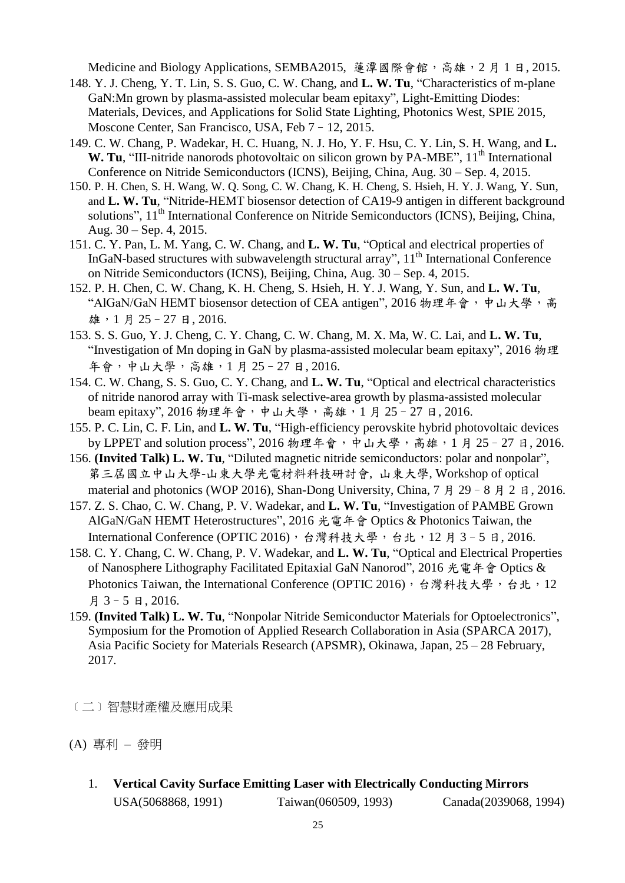Medicine and Biology Applications, SEMBA2015, 蓮潭國際會館, 高雄, 2月1日, 2015.

- 148. Y. J. Cheng, Y. T. Lin, S. S. Guo, C. W. Chang, and **L. W. Tu**, "Characteristics of m-plane GaN:Mn grown by plasma-assisted molecular beam epitaxy", Light-Emitting Diodes: Materials, Devices, and Applications for Solid State Lighting, Photonics West, SPIE 2015, Moscone Center, San Francisco, USA, Feb 7–12, 2015.
- 149. C. W. Chang, P. Wadekar, H. C. Huang, N. J. Ho, Y. F. Hsu, C. Y. Lin, S. H. Wang, and **L. W.** Tu, "III-nitride nanorods photovoltaic on silicon grown by PA-MBE", 11<sup>th</sup> International Conference on Nitride Semiconductors (ICNS), Beijing, China, Aug. 30 – Sep. 4, 2015.
- 150. P. H. Chen, S. H. Wang, W. Q. Song, C. W. Chang, K. H. Cheng, S. Hsieh, H. Y. J. Wang, Y. Sun, and **L. W. Tu**, "Nitride-HEMT biosensor detection of CA19-9 antigen in different background solutions",  $11<sup>th</sup>$  International Conference on Nitride Semiconductors (ICNS), Beijing, China, Aug. 30 – Sep. 4, 2015.
- 151. C. Y. Pan, L. M. Yang, C. W. Chang, and **L. W. Tu**, "Optical and electrical properties of InGaN-based structures with subwavelength structural array", 11<sup>th</sup> International Conference on Nitride Semiconductors (ICNS), Beijing, China, Aug. 30 – Sep. 4, 2015.
- 152. P. H. Chen, C. W. Chang, K. H. Cheng, S. Hsieh, H. Y. J. Wang, Y. Sun, and **L. W. Tu**, "AlGaN/GaN HEMT biosensor detection of CEA antigen", 2016 物理年會,中山大學,高 雄,1 月 25–27 日, 2016.
- 153. S. S. Guo, Y. J. Cheng, C. Y. Chang, C. W. Chang, M. X. Ma, W. C. Lai, and **L. W. Tu**, "Investigation of Mn doping in GaN by plasma-assisted molecular beam epitaxy", 2016 物理 年會,中山大學,高雄,1 月 25–27 日, 2016.
- 154. C. W. Chang, S. S. Guo, C. Y. Chang, and **L. W. Tu**, "Optical and electrical characteristics of nitride nanorod array with Ti-mask selective-area growth by plasma-assisted molecular beam epitaxy", 2016 物理年會,中山大學,高雄, 1月 25-27 日, 2016.
- 155. P. C. Lin, C. F. Lin, and **L. W. Tu**, "High-efficiency perovskite hybrid photovoltaic devices by LPPET and solution process", 2016 物理年會,中山大學,高雄,1月25-27日, 2016.
- 156. **(Invited Talk) L. W. Tu**, "Diluted magnetic nitride semiconductors: polar and nonpolar", 第三屆國立中山大學-山東大學光電材料科技研討會, 山東大學, Workshop of optical material and photonics (WOP 2016), Shan-Dong University, China,  $7 \cancel{0}$   $\cancel{1}$   $29 - 8 \cancel{0}$   $\cancel{1}$   $2 \cancel{0}$   $16$ .
- 157. Z. S. Chao, C. W. Chang, P. V. Wadekar, and **L. W. Tu**, "Investigation of PAMBE Grown AlGaN/GaN HEMT Heterostructures", 2016 光電年會 Optics & Photonics Taiwan, the International Conference (OPTIC 2016), 台灣科技大學, 台北, 12 月 3-5 日, 2016.
- 158. C. Y. Chang, C. W. Chang, P. V. Wadekar, and **L. W. Tu**, "Optical and Electrical Properties of Nanosphere Lithography Facilitated Epitaxial GaN Nanorod", 2016 光電年會 Optics & Photonics Taiwan, the International Conference (OPTIC 2016), 台灣科技大學, 台北, 12 月 3–5 日, 2016.
- 159. **(Invited Talk) L. W. Tu**, "Nonpolar Nitride Semiconductor Materials for Optoelectronics", Symposium for the Promotion of Applied Research Collaboration in Asia (SPARCA 2017), Asia Pacific Society for Materials Research (APSMR), Okinawa, Japan, 25 – 28 February, 2017.

﹝二﹞智慧財產權及應用成果

(A) 專利 – 發明

1. **Vertical Cavity Surface Emitting Laser with Electrically Conducting Mirrors** USA(5068868, 1991) Taiwan(060509, 1993) Canada(2039068, 1994)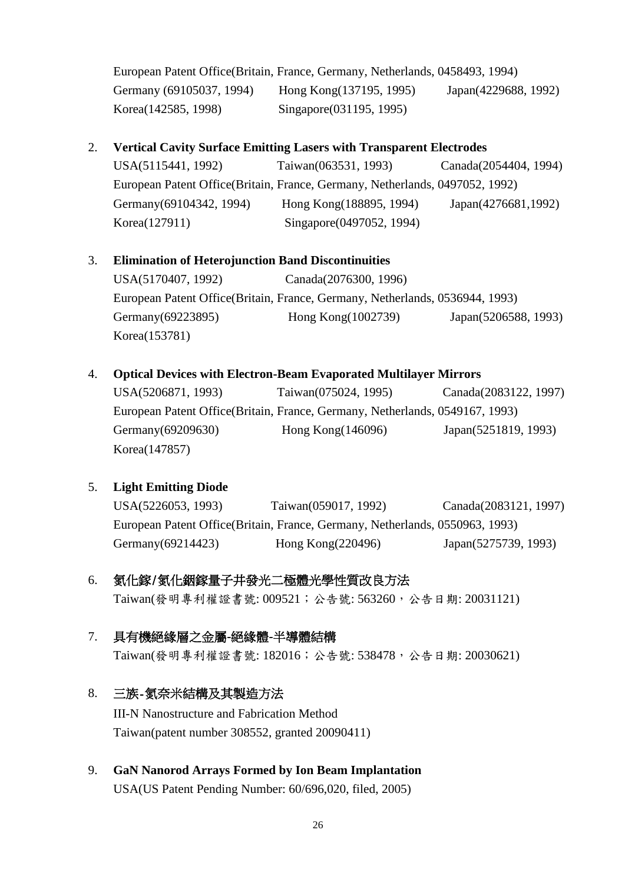European Patent Office(Britain, France, Germany, Netherlands, 0458493, 1994) Germany (69105037, 1994) Hong Kong (137195, 1995) Japan (4229688, 1992) Korea(142585, 1998) Singapore(031195, 1995)

#### 2. **Vertical Cavity Surface Emitting Lasers with Transparent Electrodes**

USA(5115441, 1992) Taiwan(063531, 1993) Canada(2054404, 1994) European Patent Office(Britain, France, Germany, Netherlands, 0497052, 1992) Germany(69104342, 1994) Hong Kong(188895, 1994) Japan(4276681, 1992) Korea(127911) Singapore(0497052, 1994)

### 3. **Elimination of Heterojunction Band Discontinuities**

USA(5170407, 1992) Canada(2076300, 1996) European Patent Office(Britain, France, Germany, Netherlands, 0536944, 1993) Germany(69223895) Hong Kong(1002739) Japan(5206588, 1993) Korea(153781)

#### 4. **Optical Devices with Electron-Beam Evaporated Multilayer Mirrors**

USA(5206871, 1993) Taiwan(075024, 1995) Canada(2083122, 1997) European Patent Office(Britain, France, Germany, Netherlands, 0549167, 1993) Germany(69209630) Hong Kong(146096) Japan(5251819, 1993) Korea(147857)

### 5. **Light Emitting Diode**

USA(5226053, 1993) Taiwan(059017, 1992) Canada(2083121, 1997) European Patent Office(Britain, France, Germany, Netherlands, 0550963, 1993) Germany(69214423) Hong Kong(220496) Japan(5275739, 1993)

# 6. 氮化鎵/氮化銦鎵量子井發光二極體光學性質改良方法

Taiwan(發明專利權證書號: 009521; 公告號: 563260, 公告日期: 20031121)

### 7. 具有機絕緣層之金屬**-**絕緣體**-**半導體結構

Taiwan(發明專利權證書號: 182016;公告號: 538478,公告日期: 20030621)

### 8. 三族-氮奈米結構及其製造方法

III-N Nanostructure and Fabrication Method Taiwan(patent number 308552, granted 20090411)

9. **GaN Nanorod Arrays Formed by Ion Beam Implantation** USA(US Patent Pending Number: 60/696,020, filed, 2005)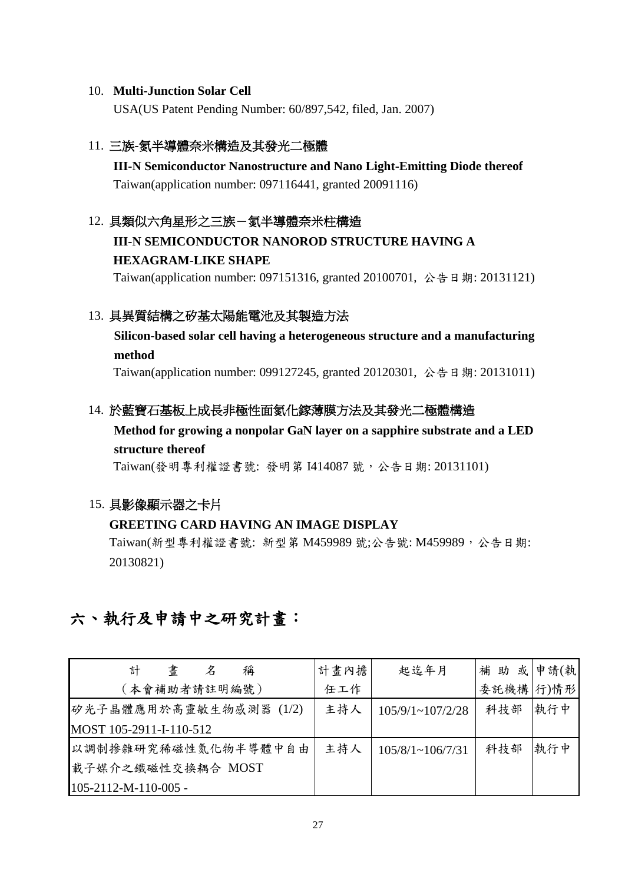#### 10. **Multi-Junction Solar Cell**

USA(US Patent Pending Number: 60/897,542, filed, Jan. 2007)

#### 11. 三族**-**氮半導體奈米構造及其發光二極體

**III-N Semiconductor Nanostructure and Nano Light-Emitting Diode thereof** Taiwan(application number: 097116441, granted 20091116)

#### 12. 具類似六角星形之三族-氦半導體奈米柱構造

# **III-N SEMICONDUCTOR NANOROD STRUCTURE HAVING A HEXAGRAM-LIKE SHAPE**

Taiwan(application number: 097151316, granted 20100701, 公告日期: 20131121)

#### 13. 具異質結構之矽基太陽能電池及其製造方法

**Silicon-based solar cell having a heterogeneous structure and a manufacturing method**

Taiwan(application number: 099127245, granted 20120301, 公告日期: 20131011)

#### 14. 於藍寶石基板上成長非極性面氮化鎵薄膜方法及其發光二極體構造

### **Method for growing a nonpolar GaN layer on a sapphire substrate and a LED structure thereof**

Taiwan(發明專利權證書號: 發明第 I414087 號, 公告日期: 20131101)

#### 15. 具影像顯示器之卡片

#### **GREETING CARD HAVING AN IMAGE DISPLAY**

Taiwan(新型專利權證書號: 新型第 M459989 號;公告號: M459989, 公告日期: 20130821)

# 六、執行及申請中之研究計畫:

| 計<br>書<br>稱<br>Z               | 計畫內擔 | 起迄年月                    | 補助 或申請(執  |     |
|--------------------------------|------|-------------------------|-----------|-----|
| (本會補助者請註明編號)                   | 任工作  |                         | 委託機構 行)情形 |     |
| 矽光子晶體應用於高靈敏生物感測器 (1/2)         | 主持人  | $105/9/1 \sim 107/2/28$ | 科技部       | 執行中 |
| MOST 105-2911-I-110-512        |      |                         |           |     |
| 以調制掺雜研究稀磁性氮化物半導體中自由            | 主持人  | $105/8/1 \sim 106/7/31$ | 科技部       | 執行中 |
| 載子媒介之鐵磁性交換耦合 MOST              |      |                         |           |     |
| $105 - 2112 - M - 110 - 005$ - |      |                         |           |     |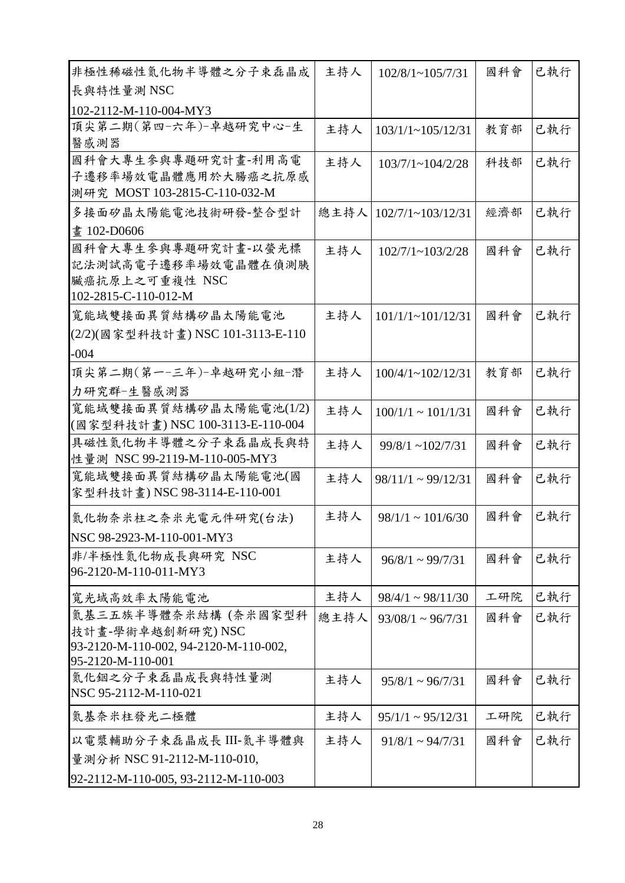| 非極性稀磁性氮化物半導體之分子束磊晶成                       | 主持人  | $102/8/1 \sim 105/7/31$    | 國科會 | 已執行 |
|-------------------------------------------|------|----------------------------|-----|-----|
| 長與特性量測 NSC                                |      |                            |     |     |
| 102-2112-M-110-004-MY3                    |      |                            |     |     |
| 頂尖第二期(第四-六年)-卓越研究中心-生                     | 主持人  | $103/1/1 \sim 105/12/31$   | 教育部 | 已執行 |
| 醫感測器                                      |      |                            |     |     |
| 國科會大專生參與專題研究計畫-利用高電                       | 主持人  | $103/7/1 \sim 104/2/28$    | 科技部 | 已執行 |
| 子遷移率場效電晶體應用於大腸癌之抗原感                       |      |                            |     |     |
| 測研究 MOST 103-2815-C-110-032-M             |      |                            |     |     |
| 多接面矽晶太陽能電池技術研發-整合型計                       | 總主持人 | $102/7/1 \sim 103/12/31$   | 經濟部 | 已執行 |
| 書 102-D0606                               |      |                            |     |     |
| 國科會大專生參與專題研究計畫-以螢光標                       | 主持人  | $102/7/1 \sim 103/2/28$    | 國科會 | 已執行 |
| 記法測試高電子遷移率場效電晶體在偵測胰                       |      |                            |     |     |
| 臟癌抗原上之可重複性 NSC<br>102-2815-C-110-012-M    |      |                            |     |     |
| 寬能域雙接面異質結構矽晶太陽能電池                         | 主持人  | $101/1/1 - 101/12/31$      | 國科會 | 已執行 |
| (2/2)(國家型科技計畫) NSC 101-3113-E-110         |      |                            |     |     |
| $-004$                                    |      |                            |     |     |
| 頂尖第二期(第一-三年)-卓越研究小組-潛                     | 主持人  | $100/4/1 \sim 102/12/31$   | 教育部 | 已執行 |
| 力研究群-生醫感測器                                |      |                            |     |     |
| 寬能域雙接面異質結構矽晶太陽能電池(1/2)                    | 主持人  | $100/1/1 \sim 101/1/31$    | 國科會 | 已執行 |
| (國家型科技計畫)NSC 100-3113-E-110-004           |      |                            |     |     |
| 具磁性氮化物半導體之分子束磊晶成長與特                       | 主持人  | $99/8/1 \sim 102/7/31$     | 國科會 | 已執行 |
| 性量測 NSC 99-2119-M-110-005-MY3             |      |                            |     |     |
| 寬能域雙接面異質結構矽晶太陽能電池(國                       | 主持人  | $98/11/1 \approx 99/12/31$ | 國科會 | 已執行 |
| 家型科技計畫) NSC 98-3114-E-110-001             |      |                            |     |     |
| 氮化物奈米柱之奈米光電元件研究(台法)                       | 主持人  | $98/1/1 \sim 101/6/30$     | 國科會 | 已執行 |
| NSC 98-2923-M-110-001-MY3                 |      |                            |     |     |
| 非/半極性氮化物成長與研究 NSC                         | 主持人  | $96/8/1 \approx 99/7/31$   | 國科會 | 已執行 |
| 96-2120-M-110-011-MY3                     |      |                            |     |     |
| 寬光域高效率太陽能電池                               | 主持人  | $98/4/1 \sim 98/11/30$     | 工研院 | 已執行 |
| 氮基三五族半導體奈米結構 (奈米國家型科                      | 總主持人 | $93/08/1 \approx 96/7/31$  | 國科會 | 已執行 |
| 技計畫-學術卓越創新研究)NSC                          |      |                            |     |     |
| 93-2120-M-110-002, 94-2120-M-110-002,     |      |                            |     |     |
| 95-2120-M-110-001                         |      |                            |     |     |
| 氮化銦之分子束磊晶成長與特性量測<br>NSC 95-2112-M-110-021 | 主持人  | $95/8/1 \sim 96/7/31$      | 國科會 | 已執行 |
| 氮基奈米柱發光二極體                                | 主持人  | $95/1/1 \approx 95/12/31$  | 工研院 | 已執行 |
| 以電漿輔助分子束磊晶成長 III-氮半導體與                    | 主持人  | $91/8/1 \sim 94/7/31$      | 國科會 | 已執行 |
| 量測分析 NSC 91-2112-M-110-010,               |      |                            |     |     |
| 92-2112-M-110-005, 93-2112-M-110-003      |      |                            |     |     |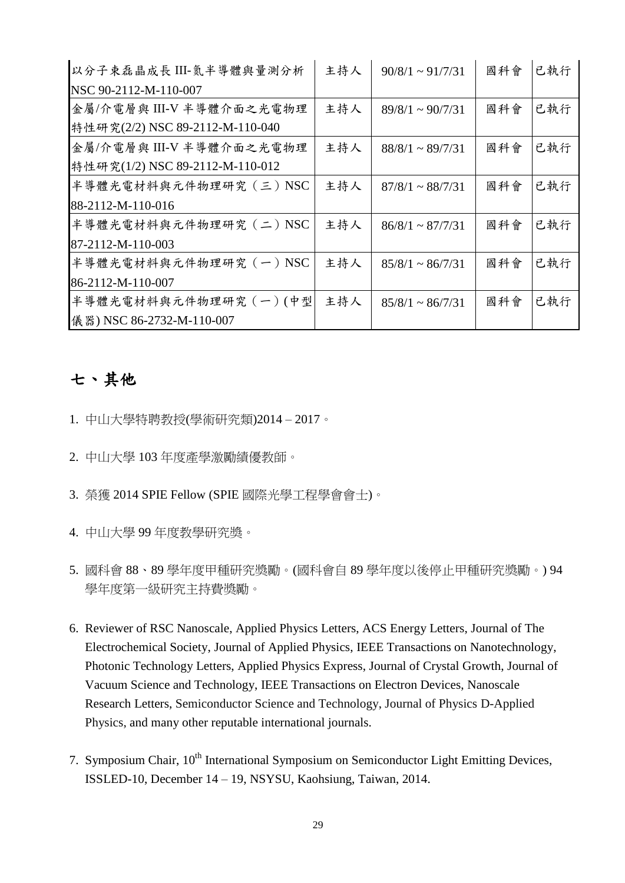| 以分子束磊晶成長 III-氮半導體與量測分析          | 主持人 | $90/8/1 \approx 91/7/31$ | 國科會 | 已執行 |
|---------------------------------|-----|--------------------------|-----|-----|
| NSC 90-2112-M-110-007           |     |                          |     |     |
| 金屬/介電層與 III-V 半導體介面之光電物理        | 主持人 | $89/8/1 \sim 90/7/31$    | 國科會 | 已執行 |
| 特性研究(2/2) NSC 89-2112-M-110-040 |     |                          |     |     |
| 金屬/介電層與 III-V 半導體介面之光電物理        | 主持人 | $88/8/1 \sim 89/7/31$    | 國科會 | 已執行 |
| 特性研究(1/2) NSC 89-2112-M-110-012 |     |                          |     |     |
| 半導體光電材料與元件物理研究 (三) NSC          | 主持人 | $87/8/1 \sim 88/7/31$    | 國科會 | 已執行 |
| 88-2112-M-110-016               |     |                          |     |     |
| 半導體光電材料與元件物理研究 (二) NSC          | 主持人 | $86/8/1 \sim 87/7/31$    | 國科會 | 已執行 |
| 87-2112-M-110-003               |     |                          |     |     |
| 半導體光電材料與元件物理研究 (一) NSC          | 主持人 | $85/8/1 \approx 86/7/31$ | 國科會 | 已執行 |
| 86-2112-M-110-007               |     |                          |     |     |
| 半導體光電材料與元件物理研究 (一)(中型           | 主持人 | $85/8/1 \sim 86/7/31$    | 國科會 | 已執行 |
| 儀器) NSC 86-2732-M-110-007       |     |                          |     |     |

# 七、其他

- 1. 中山大學特聘教授(學術研究類)2014 2017。
- 2. 中山大學 103 年度產學激勵績優教師。
- 3. 榮獲 2014 SPIE Fellow (SPIE 國際光學工程學會會士)。
- 4. 中山大學 99 年度教學研究獎。
- 5. 國科會 88、89 學年度甲種研究獎勵。(國科會自 89 學年度以後停止甲種研究獎勵。) 94 學年度第一級研究主持費獎勵。
- 6. Reviewer of RSC Nanoscale, Applied Physics Letters, ACS Energy Letters, Journal of The Electrochemical Society, Journal of Applied Physics, IEEE Transactions on Nanotechnology, Photonic Technology Letters, Applied Physics Express, Journal of Crystal Growth, Journal of Vacuum Science and Technology, IEEE Transactions on Electron Devices, Nanoscale Research Letters, Semiconductor Science and Technology, Journal of Physics D-Applied Physics, and many other reputable international journals.
- 7. Symposium Chair, 10<sup>th</sup> International Symposium on Semiconductor Light Emitting Devices, ISSLED-10, December 14 – 19, NSYSU, Kaohsiung, Taiwan, 2014.